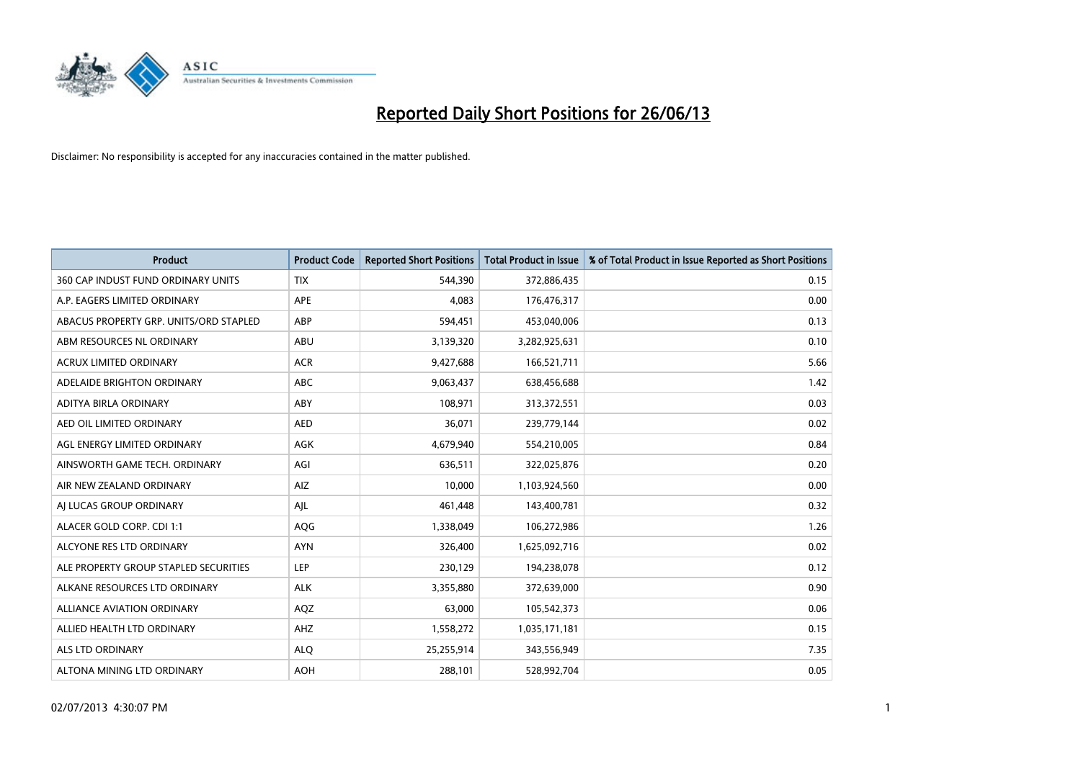

| <b>Product</b>                         | <b>Product Code</b> | <b>Reported Short Positions</b> | <b>Total Product in Issue</b> | % of Total Product in Issue Reported as Short Positions |
|----------------------------------------|---------------------|---------------------------------|-------------------------------|---------------------------------------------------------|
| 360 CAP INDUST FUND ORDINARY UNITS     | <b>TIX</b>          | 544,390                         | 372,886,435                   | 0.15                                                    |
| A.P. EAGERS LIMITED ORDINARY           | APE                 | 4,083                           | 176,476,317                   | 0.00                                                    |
| ABACUS PROPERTY GRP. UNITS/ORD STAPLED | ABP                 | 594,451                         | 453,040,006                   | 0.13                                                    |
| ABM RESOURCES NL ORDINARY              | ABU                 | 3,139,320                       | 3,282,925,631                 | 0.10                                                    |
| <b>ACRUX LIMITED ORDINARY</b>          | <b>ACR</b>          | 9,427,688                       | 166,521,711                   | 5.66                                                    |
| ADELAIDE BRIGHTON ORDINARY             | <b>ABC</b>          | 9,063,437                       | 638,456,688                   | 1.42                                                    |
| ADITYA BIRLA ORDINARY                  | ABY                 | 108.971                         | 313,372,551                   | 0.03                                                    |
| AED OIL LIMITED ORDINARY               | <b>AED</b>          | 36,071                          | 239,779,144                   | 0.02                                                    |
| AGL ENERGY LIMITED ORDINARY            | AGK                 | 4,679,940                       | 554,210,005                   | 0.84                                                    |
| AINSWORTH GAME TECH. ORDINARY          | AGI                 | 636,511                         | 322,025,876                   | 0.20                                                    |
| AIR NEW ZEALAND ORDINARY               | AIZ                 | 10,000                          | 1,103,924,560                 | 0.00                                                    |
| AI LUCAS GROUP ORDINARY                | AJL                 | 461,448                         | 143,400,781                   | 0.32                                                    |
| ALACER GOLD CORP. CDI 1:1              | AQG                 | 1,338,049                       | 106,272,986                   | 1.26                                                    |
| ALCYONE RES LTD ORDINARY               | <b>AYN</b>          | 326,400                         | 1,625,092,716                 | 0.02                                                    |
| ALE PROPERTY GROUP STAPLED SECURITIES  | <b>LEP</b>          | 230,129                         | 194,238,078                   | 0.12                                                    |
| ALKANE RESOURCES LTD ORDINARY          | <b>ALK</b>          | 3,355,880                       | 372,639,000                   | 0.90                                                    |
| ALLIANCE AVIATION ORDINARY             | AQZ                 | 63,000                          | 105,542,373                   | 0.06                                                    |
| ALLIED HEALTH LTD ORDINARY             | AHZ                 | 1,558,272                       | 1,035,171,181                 | 0.15                                                    |
| ALS LTD ORDINARY                       | <b>ALQ</b>          | 25,255,914                      | 343,556,949                   | 7.35                                                    |
| ALTONA MINING LTD ORDINARY             | <b>AOH</b>          | 288,101                         | 528,992,704                   | 0.05                                                    |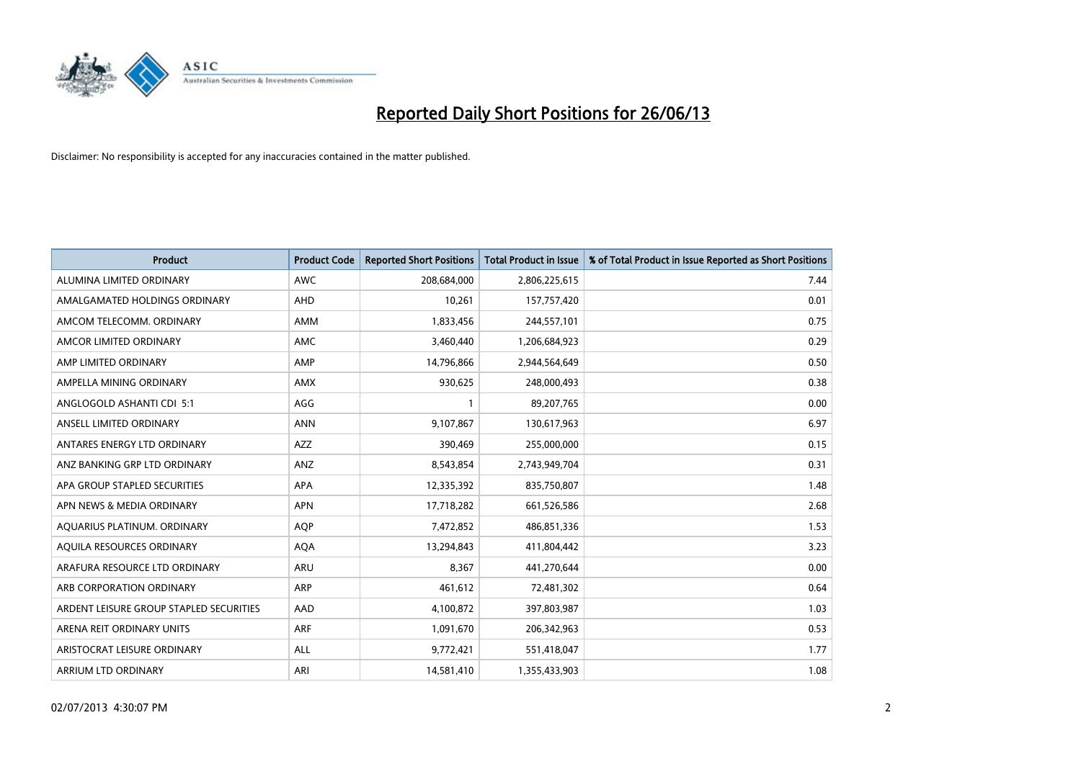

| <b>Product</b>                          | <b>Product Code</b> | <b>Reported Short Positions</b> | <b>Total Product in Issue</b> | % of Total Product in Issue Reported as Short Positions |
|-----------------------------------------|---------------------|---------------------------------|-------------------------------|---------------------------------------------------------|
| ALUMINA LIMITED ORDINARY                | <b>AWC</b>          | 208,684,000                     | 2,806,225,615                 | 7.44                                                    |
| AMALGAMATED HOLDINGS ORDINARY           | AHD                 | 10,261                          | 157,757,420                   | 0.01                                                    |
| AMCOM TELECOMM, ORDINARY                | AMM                 | 1,833,456                       | 244,557,101                   | 0.75                                                    |
| AMCOR LIMITED ORDINARY                  | AMC                 | 3,460,440                       | 1,206,684,923                 | 0.29                                                    |
| AMP LIMITED ORDINARY                    | AMP                 | 14,796,866                      | 2,944,564,649                 | 0.50                                                    |
| AMPELLA MINING ORDINARY                 | AMX                 | 930,625                         | 248,000,493                   | 0.38                                                    |
| ANGLOGOLD ASHANTI CDI 5:1               | AGG                 |                                 | 89,207,765                    | 0.00                                                    |
| ANSELL LIMITED ORDINARY                 | <b>ANN</b>          | 9,107,867                       | 130,617,963                   | 6.97                                                    |
| ANTARES ENERGY LTD ORDINARY             | <b>AZZ</b>          | 390,469                         | 255,000,000                   | 0.15                                                    |
| ANZ BANKING GRP LTD ORDINARY            | ANZ                 | 8,543,854                       | 2,743,949,704                 | 0.31                                                    |
| APA GROUP STAPLED SECURITIES            | APA                 | 12,335,392                      | 835,750,807                   | 1.48                                                    |
| APN NEWS & MEDIA ORDINARY               | <b>APN</b>          | 17,718,282                      | 661,526,586                   | 2.68                                                    |
| AQUARIUS PLATINUM. ORDINARY             | <b>AOP</b>          | 7,472,852                       | 486,851,336                   | 1.53                                                    |
| AOUILA RESOURCES ORDINARY               | <b>AQA</b>          | 13,294,843                      | 411,804,442                   | 3.23                                                    |
| ARAFURA RESOURCE LTD ORDINARY           | ARU                 | 8,367                           | 441,270,644                   | 0.00                                                    |
| ARB CORPORATION ORDINARY                | <b>ARP</b>          | 461,612                         | 72,481,302                    | 0.64                                                    |
| ARDENT LEISURE GROUP STAPLED SECURITIES | AAD                 | 4,100,872                       | 397,803,987                   | 1.03                                                    |
| ARENA REIT ORDINARY UNITS               | <b>ARF</b>          | 1,091,670                       | 206,342,963                   | 0.53                                                    |
| ARISTOCRAT LEISURE ORDINARY             | ALL                 | 9,772,421                       | 551,418,047                   | 1.77                                                    |
| ARRIUM LTD ORDINARY                     | ARI                 | 14,581,410                      | 1,355,433,903                 | 1.08                                                    |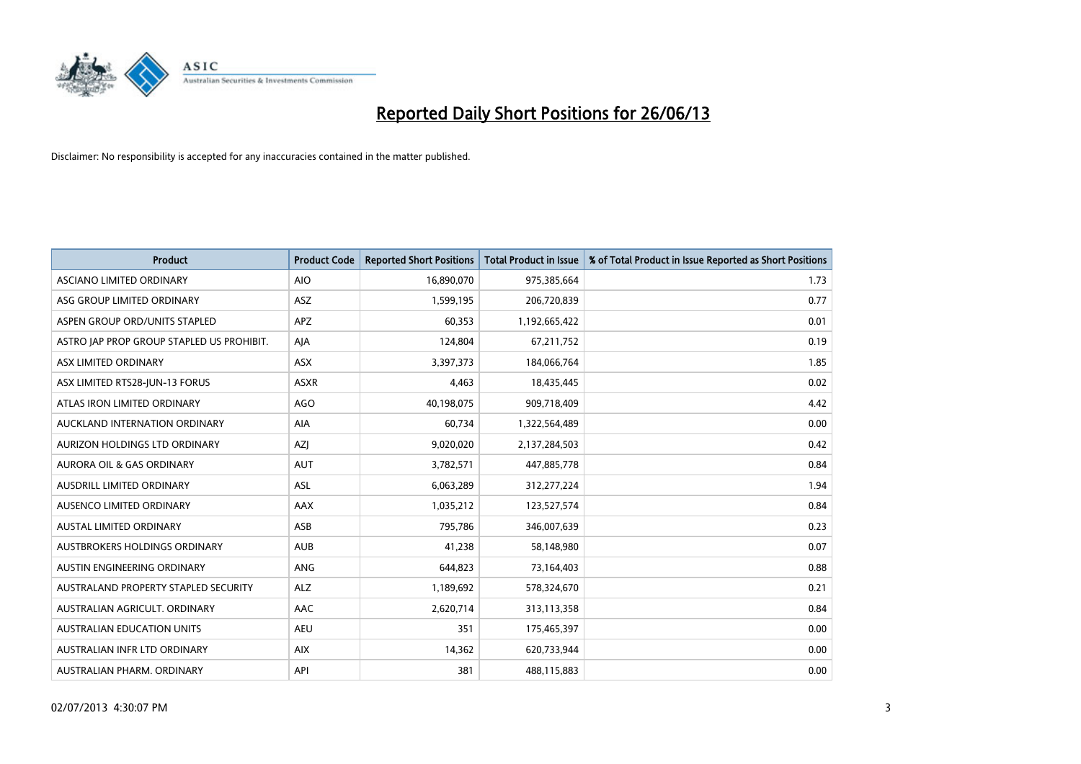

| <b>Product</b>                            | <b>Product Code</b> | <b>Reported Short Positions</b> | <b>Total Product in Issue</b> | % of Total Product in Issue Reported as Short Positions |
|-------------------------------------------|---------------------|---------------------------------|-------------------------------|---------------------------------------------------------|
| ASCIANO LIMITED ORDINARY                  | <b>AIO</b>          | 16,890,070                      | 975,385,664                   | 1.73                                                    |
| ASG GROUP LIMITED ORDINARY                | ASZ                 | 1,599,195                       | 206,720,839                   | 0.77                                                    |
| ASPEN GROUP ORD/UNITS STAPLED             | <b>APZ</b>          | 60,353                          | 1,192,665,422                 | 0.01                                                    |
| ASTRO JAP PROP GROUP STAPLED US PROHIBIT. | AJA                 | 124,804                         | 67,211,752                    | 0.19                                                    |
| ASX LIMITED ORDINARY                      | ASX                 | 3,397,373                       | 184,066,764                   | 1.85                                                    |
| ASX LIMITED RTS28-JUN-13 FORUS            | <b>ASXR</b>         | 4,463                           | 18,435,445                    | 0.02                                                    |
| ATLAS IRON LIMITED ORDINARY               | <b>AGO</b>          | 40,198,075                      | 909,718,409                   | 4.42                                                    |
| AUCKLAND INTERNATION ORDINARY             | AIA                 | 60,734                          | 1,322,564,489                 | 0.00                                                    |
| AURIZON HOLDINGS LTD ORDINARY             | AZJ                 | 9,020,020                       | 2,137,284,503                 | 0.42                                                    |
| <b>AURORA OIL &amp; GAS ORDINARY</b>      | <b>AUT</b>          | 3,782,571                       | 447,885,778                   | 0.84                                                    |
| AUSDRILL LIMITED ORDINARY                 | ASL                 | 6,063,289                       | 312,277,224                   | 1.94                                                    |
| AUSENCO LIMITED ORDINARY                  | AAX                 | 1,035,212                       | 123,527,574                   | 0.84                                                    |
| AUSTAL LIMITED ORDINARY                   | ASB                 | 795,786                         | 346,007,639                   | 0.23                                                    |
| AUSTBROKERS HOLDINGS ORDINARY             | <b>AUB</b>          | 41,238                          | 58,148,980                    | 0.07                                                    |
| AUSTIN ENGINEERING ORDINARY               | ANG                 | 644,823                         | 73,164,403                    | 0.88                                                    |
| AUSTRALAND PROPERTY STAPLED SECURITY      | <b>ALZ</b>          | 1,189,692                       | 578,324,670                   | 0.21                                                    |
| AUSTRALIAN AGRICULT. ORDINARY             | AAC                 | 2,620,714                       | 313,113,358                   | 0.84                                                    |
| AUSTRALIAN EDUCATION UNITS                | <b>AEU</b>          | 351                             | 175,465,397                   | 0.00                                                    |
| AUSTRALIAN INFR LTD ORDINARY              | <b>AIX</b>          | 14,362                          | 620,733,944                   | 0.00                                                    |
| AUSTRALIAN PHARM. ORDINARY                | API                 | 381                             | 488,115,883                   | 0.00                                                    |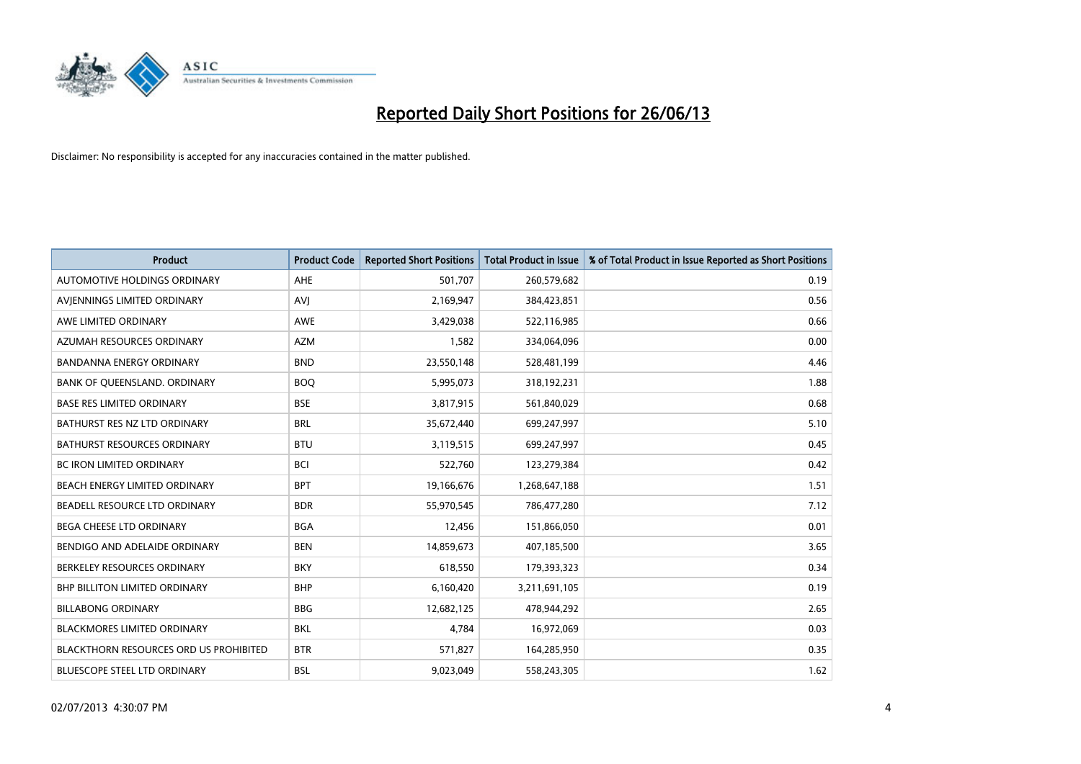

| <b>Product</b>                                | <b>Product Code</b> | <b>Reported Short Positions</b> | <b>Total Product in Issue</b> | % of Total Product in Issue Reported as Short Positions |
|-----------------------------------------------|---------------------|---------------------------------|-------------------------------|---------------------------------------------------------|
| AUTOMOTIVE HOLDINGS ORDINARY                  | <b>AHE</b>          | 501,707                         | 260,579,682                   | 0.19                                                    |
| AVIENNINGS LIMITED ORDINARY                   | AVI                 | 2,169,947                       | 384,423,851                   | 0.56                                                    |
| AWE LIMITED ORDINARY                          | <b>AWE</b>          | 3,429,038                       | 522,116,985                   | 0.66                                                    |
| AZUMAH RESOURCES ORDINARY                     | <b>AZM</b>          | 1,582                           | 334,064,096                   | 0.00                                                    |
| <b>BANDANNA ENERGY ORDINARY</b>               | <b>BND</b>          | 23,550,148                      | 528,481,199                   | 4.46                                                    |
| BANK OF QUEENSLAND. ORDINARY                  | <b>BOO</b>          | 5,995,073                       | 318,192,231                   | 1.88                                                    |
| <b>BASE RES LIMITED ORDINARY</b>              | <b>BSE</b>          | 3,817,915                       | 561,840,029                   | 0.68                                                    |
| BATHURST RES NZ LTD ORDINARY                  | <b>BRL</b>          | 35,672,440                      | 699,247,997                   | 5.10                                                    |
| <b>BATHURST RESOURCES ORDINARY</b>            | <b>BTU</b>          | 3,119,515                       | 699,247,997                   | 0.45                                                    |
| <b>BC IRON LIMITED ORDINARY</b>               | <b>BCI</b>          | 522,760                         | 123,279,384                   | 0.42                                                    |
| BEACH ENERGY LIMITED ORDINARY                 | <b>BPT</b>          | 19,166,676                      | 1,268,647,188                 | 1.51                                                    |
| BEADELL RESOURCE LTD ORDINARY                 | <b>BDR</b>          | 55,970,545                      | 786,477,280                   | 7.12                                                    |
| <b>BEGA CHEESE LTD ORDINARY</b>               | <b>BGA</b>          | 12,456                          | 151,866,050                   | 0.01                                                    |
| BENDIGO AND ADELAIDE ORDINARY                 | <b>BEN</b>          | 14,859,673                      | 407,185,500                   | 3.65                                                    |
| BERKELEY RESOURCES ORDINARY                   | <b>BKY</b>          | 618,550                         | 179,393,323                   | 0.34                                                    |
| <b>BHP BILLITON LIMITED ORDINARY</b>          | <b>BHP</b>          | 6,160,420                       | 3,211,691,105                 | 0.19                                                    |
| <b>BILLABONG ORDINARY</b>                     | <b>BBG</b>          | 12,682,125                      | 478,944,292                   | 2.65                                                    |
| <b>BLACKMORES LIMITED ORDINARY</b>            | <b>BKL</b>          | 4.784                           | 16,972,069                    | 0.03                                                    |
| <b>BLACKTHORN RESOURCES ORD US PROHIBITED</b> | <b>BTR</b>          | 571,827                         | 164,285,950                   | 0.35                                                    |
| BLUESCOPE STEEL LTD ORDINARY                  | <b>BSL</b>          | 9,023,049                       | 558,243,305                   | 1.62                                                    |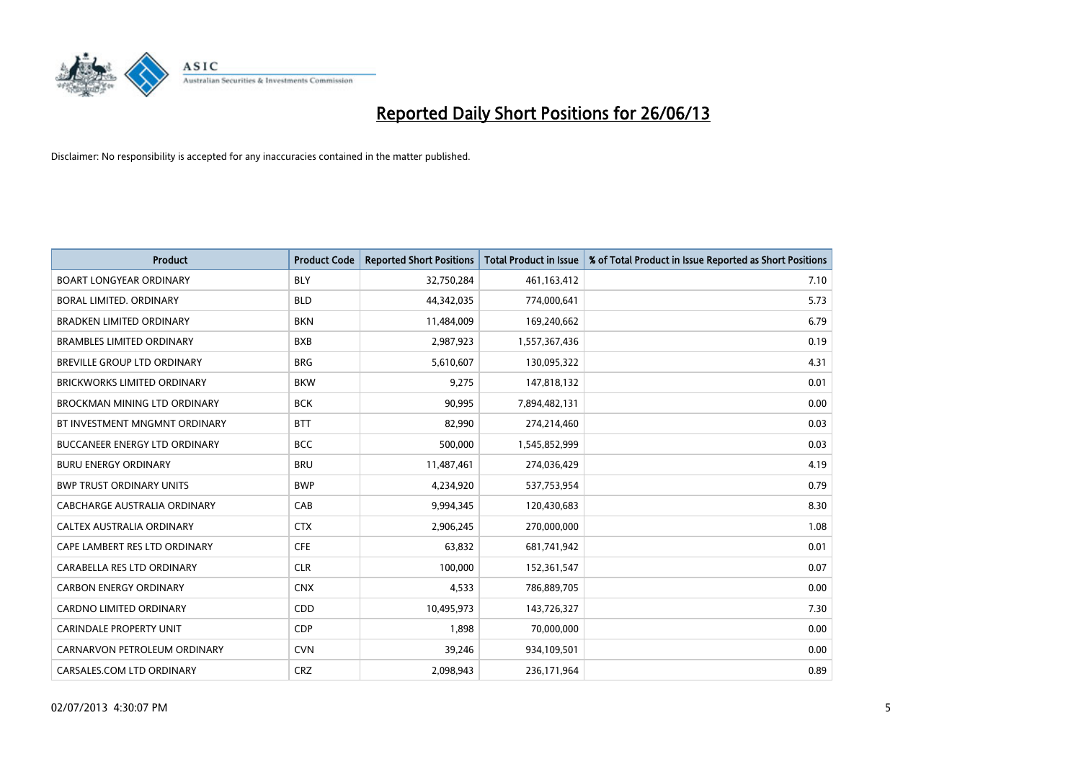

| <b>Product</b>                       | <b>Product Code</b> | <b>Reported Short Positions</b> | <b>Total Product in Issue</b> | % of Total Product in Issue Reported as Short Positions |
|--------------------------------------|---------------------|---------------------------------|-------------------------------|---------------------------------------------------------|
| <b>BOART LONGYEAR ORDINARY</b>       | <b>BLY</b>          | 32,750,284                      | 461,163,412                   | 7.10                                                    |
| BORAL LIMITED. ORDINARY              | <b>BLD</b>          | 44,342,035                      | 774,000,641                   | 5.73                                                    |
| <b>BRADKEN LIMITED ORDINARY</b>      | <b>BKN</b>          | 11,484,009                      | 169,240,662                   | 6.79                                                    |
| <b>BRAMBLES LIMITED ORDINARY</b>     | <b>BXB</b>          | 2,987,923                       | 1,557,367,436                 | 0.19                                                    |
| BREVILLE GROUP LTD ORDINARY          | <b>BRG</b>          | 5,610,607                       | 130,095,322                   | 4.31                                                    |
| <b>BRICKWORKS LIMITED ORDINARY</b>   | <b>BKW</b>          | 9,275                           | 147,818,132                   | 0.01                                                    |
| <b>BROCKMAN MINING LTD ORDINARY</b>  | <b>BCK</b>          | 90,995                          | 7,894,482,131                 | 0.00                                                    |
| BT INVESTMENT MNGMNT ORDINARY        | <b>BTT</b>          | 82,990                          | 274,214,460                   | 0.03                                                    |
| <b>BUCCANEER ENERGY LTD ORDINARY</b> | <b>BCC</b>          | 500,000                         | 1,545,852,999                 | 0.03                                                    |
| <b>BURU ENERGY ORDINARY</b>          | <b>BRU</b>          | 11,487,461                      | 274,036,429                   | 4.19                                                    |
| <b>BWP TRUST ORDINARY UNITS</b>      | <b>BWP</b>          | 4,234,920                       | 537,753,954                   | 0.79                                                    |
| <b>CABCHARGE AUSTRALIA ORDINARY</b>  | CAB                 | 9,994,345                       | 120,430,683                   | 8.30                                                    |
| CALTEX AUSTRALIA ORDINARY            | <b>CTX</b>          | 2,906,245                       | 270,000,000                   | 1.08                                                    |
| CAPE LAMBERT RES LTD ORDINARY        | <b>CFE</b>          | 63,832                          | 681,741,942                   | 0.01                                                    |
| CARABELLA RES LTD ORDINARY           | <b>CLR</b>          | 100,000                         | 152,361,547                   | 0.07                                                    |
| <b>CARBON ENERGY ORDINARY</b>        | <b>CNX</b>          | 4,533                           | 786,889,705                   | 0.00                                                    |
| CARDNO LIMITED ORDINARY              | CDD                 | 10,495,973                      | 143,726,327                   | 7.30                                                    |
| CARINDALE PROPERTY UNIT              | <b>CDP</b>          | 1,898                           | 70,000,000                    | 0.00                                                    |
| CARNARVON PETROLEUM ORDINARY         | <b>CVN</b>          | 39,246                          | 934,109,501                   | 0.00                                                    |
| CARSALES.COM LTD ORDINARY            | <b>CRZ</b>          | 2,098,943                       | 236,171,964                   | 0.89                                                    |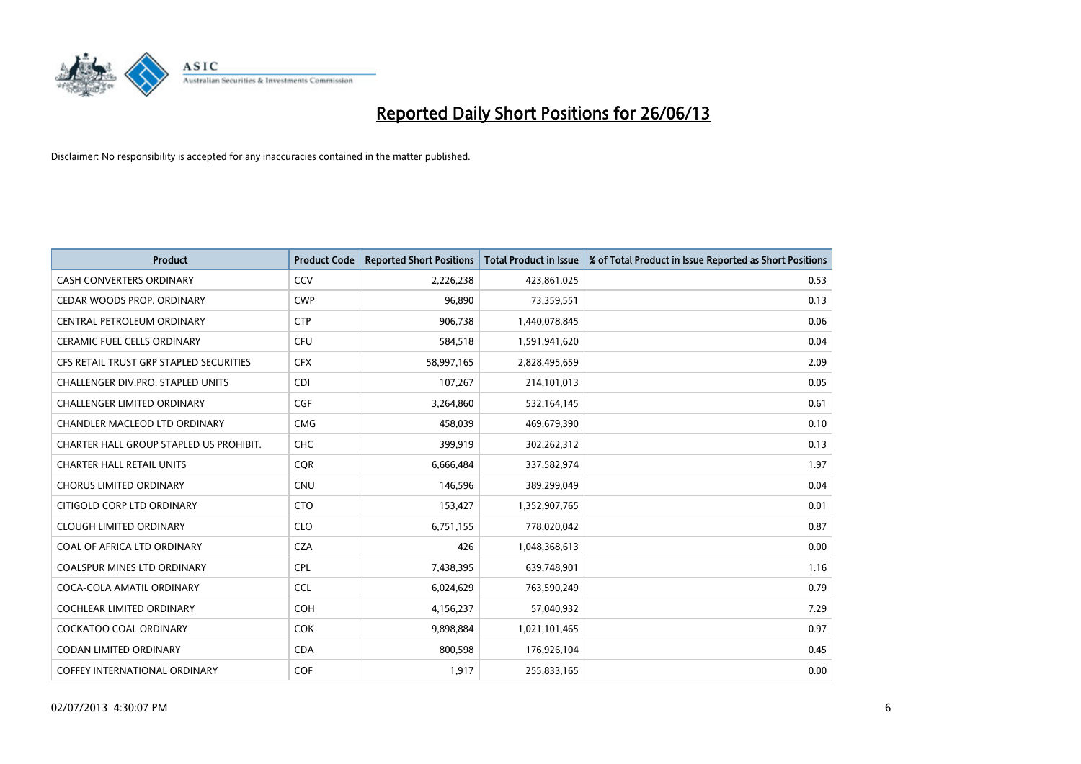

| <b>Product</b>                          | <b>Product Code</b> | <b>Reported Short Positions</b> | <b>Total Product in Issue</b> | % of Total Product in Issue Reported as Short Positions |
|-----------------------------------------|---------------------|---------------------------------|-------------------------------|---------------------------------------------------------|
| <b>CASH CONVERTERS ORDINARY</b>         | CCV                 | 2,226,238                       | 423,861,025                   | 0.53                                                    |
| CEDAR WOODS PROP. ORDINARY              | <b>CWP</b>          | 96,890                          | 73,359,551                    | 0.13                                                    |
| CENTRAL PETROLEUM ORDINARY              | <b>CTP</b>          | 906,738                         | 1,440,078,845                 | 0.06                                                    |
| <b>CERAMIC FUEL CELLS ORDINARY</b>      | <b>CFU</b>          | 584,518                         | 1,591,941,620                 | 0.04                                                    |
| CFS RETAIL TRUST GRP STAPLED SECURITIES | <b>CFX</b>          | 58,997,165                      | 2,828,495,659                 | 2.09                                                    |
| CHALLENGER DIV.PRO. STAPLED UNITS       | <b>CDI</b>          | 107,267                         | 214,101,013                   | 0.05                                                    |
| <b>CHALLENGER LIMITED ORDINARY</b>      | <b>CGF</b>          | 3,264,860                       | 532,164,145                   | 0.61                                                    |
| CHANDLER MACLEOD LTD ORDINARY           | <b>CMG</b>          | 458,039                         | 469,679,390                   | 0.10                                                    |
| CHARTER HALL GROUP STAPLED US PROHIBIT. | <b>CHC</b>          | 399,919                         | 302,262,312                   | 0.13                                                    |
| <b>CHARTER HALL RETAIL UNITS</b>        | <b>COR</b>          | 6,666,484                       | 337,582,974                   | 1.97                                                    |
| <b>CHORUS LIMITED ORDINARY</b>          | <b>CNU</b>          | 146,596                         | 389,299,049                   | 0.04                                                    |
| CITIGOLD CORP LTD ORDINARY              | <b>CTO</b>          | 153,427                         | 1,352,907,765                 | 0.01                                                    |
| <b>CLOUGH LIMITED ORDINARY</b>          | <b>CLO</b>          | 6,751,155                       | 778,020,042                   | 0.87                                                    |
| COAL OF AFRICA LTD ORDINARY             | <b>CZA</b>          | 426                             | 1,048,368,613                 | 0.00                                                    |
| <b>COALSPUR MINES LTD ORDINARY</b>      | <b>CPL</b>          | 7,438,395                       | 639,748,901                   | 1.16                                                    |
| COCA-COLA AMATIL ORDINARY               | <b>CCL</b>          | 6,024,629                       | 763,590,249                   | 0.79                                                    |
| COCHLEAR LIMITED ORDINARY               | <b>COH</b>          | 4,156,237                       | 57,040,932                    | 7.29                                                    |
| COCKATOO COAL ORDINARY                  | <b>COK</b>          | 9,898,884                       | 1,021,101,465                 | 0.97                                                    |
| <b>CODAN LIMITED ORDINARY</b>           | <b>CDA</b>          | 800,598                         | 176,926,104                   | 0.45                                                    |
| <b>COFFEY INTERNATIONAL ORDINARY</b>    | <b>COF</b>          | 1,917                           | 255,833,165                   | 0.00                                                    |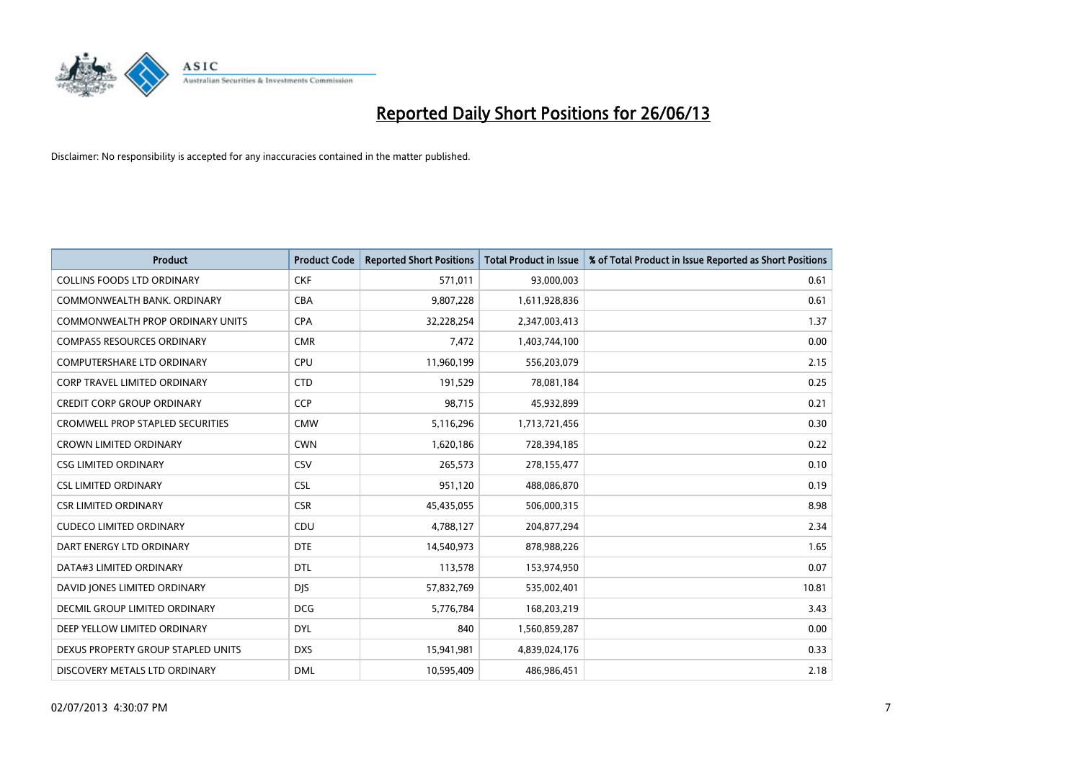

| <b>Product</b>                          | <b>Product Code</b> | <b>Reported Short Positions</b> | <b>Total Product in Issue</b> | % of Total Product in Issue Reported as Short Positions |
|-----------------------------------------|---------------------|---------------------------------|-------------------------------|---------------------------------------------------------|
| <b>COLLINS FOODS LTD ORDINARY</b>       | <b>CKF</b>          | 571,011                         | 93,000,003                    | 0.61                                                    |
| COMMONWEALTH BANK, ORDINARY             | <b>CBA</b>          | 9,807,228                       | 1,611,928,836                 | 0.61                                                    |
| <b>COMMONWEALTH PROP ORDINARY UNITS</b> | <b>CPA</b>          | 32,228,254                      | 2,347,003,413                 | 1.37                                                    |
| <b>COMPASS RESOURCES ORDINARY</b>       | <b>CMR</b>          | 7,472                           | 1,403,744,100                 | 0.00                                                    |
| <b>COMPUTERSHARE LTD ORDINARY</b>       | <b>CPU</b>          | 11,960,199                      | 556,203,079                   | 2.15                                                    |
| <b>CORP TRAVEL LIMITED ORDINARY</b>     | <b>CTD</b>          | 191,529                         | 78,081,184                    | 0.25                                                    |
| <b>CREDIT CORP GROUP ORDINARY</b>       | <b>CCP</b>          | 98,715                          | 45,932,899                    | 0.21                                                    |
| <b>CROMWELL PROP STAPLED SECURITIES</b> | <b>CMW</b>          | 5,116,296                       | 1,713,721,456                 | 0.30                                                    |
| <b>CROWN LIMITED ORDINARY</b>           | <b>CWN</b>          | 1,620,186                       | 728,394,185                   | 0.22                                                    |
| <b>CSG LIMITED ORDINARY</b>             | <b>CSV</b>          | 265,573                         | 278,155,477                   | 0.10                                                    |
| <b>CSL LIMITED ORDINARY</b>             | <b>CSL</b>          | 951,120                         | 488,086,870                   | 0.19                                                    |
| <b>CSR LIMITED ORDINARY</b>             | <b>CSR</b>          | 45,435,055                      | 506,000,315                   | 8.98                                                    |
| <b>CUDECO LIMITED ORDINARY</b>          | CDU                 | 4,788,127                       | 204,877,294                   | 2.34                                                    |
| DART ENERGY LTD ORDINARY                | <b>DTE</b>          | 14,540,973                      | 878,988,226                   | 1.65                                                    |
| DATA#3 LIMITED ORDINARY                 | <b>DTL</b>          | 113,578                         | 153,974,950                   | 0.07                                                    |
| DAVID JONES LIMITED ORDINARY            | <b>DIS</b>          | 57,832,769                      | 535,002,401                   | 10.81                                                   |
| DECMIL GROUP LIMITED ORDINARY           | <b>DCG</b>          | 5,776,784                       | 168,203,219                   | 3.43                                                    |
| DEEP YELLOW LIMITED ORDINARY            | <b>DYL</b>          | 840                             | 1,560,859,287                 | 0.00                                                    |
| DEXUS PROPERTY GROUP STAPLED UNITS      | <b>DXS</b>          | 15,941,981                      | 4,839,024,176                 | 0.33                                                    |
| DISCOVERY METALS LTD ORDINARY           | <b>DML</b>          | 10,595,409                      | 486,986,451                   | 2.18                                                    |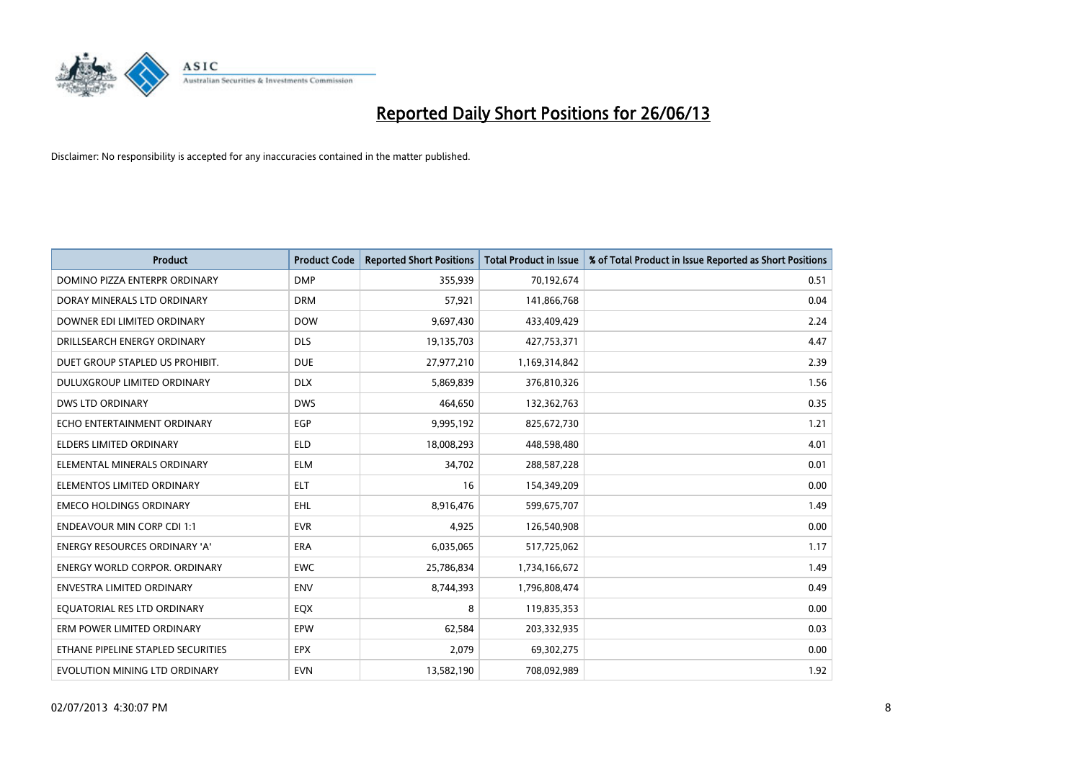

| <b>Product</b>                       | <b>Product Code</b> | <b>Reported Short Positions</b> | <b>Total Product in Issue</b> | % of Total Product in Issue Reported as Short Positions |
|--------------------------------------|---------------------|---------------------------------|-------------------------------|---------------------------------------------------------|
| DOMINO PIZZA ENTERPR ORDINARY        | <b>DMP</b>          | 355,939                         | 70,192,674                    | 0.51                                                    |
| DORAY MINERALS LTD ORDINARY          | <b>DRM</b>          | 57,921                          | 141,866,768                   | 0.04                                                    |
| DOWNER EDI LIMITED ORDINARY          | <b>DOW</b>          | 9,697,430                       | 433,409,429                   | 2.24                                                    |
| DRILLSEARCH ENERGY ORDINARY          | <b>DLS</b>          | 19,135,703                      | 427,753,371                   | 4.47                                                    |
| DUET GROUP STAPLED US PROHIBIT.      | <b>DUE</b>          | 27,977,210                      | 1,169,314,842                 | 2.39                                                    |
| DULUXGROUP LIMITED ORDINARY          | <b>DLX</b>          | 5,869,839                       | 376,810,326                   | 1.56                                                    |
| <b>DWS LTD ORDINARY</b>              | <b>DWS</b>          | 464,650                         | 132,362,763                   | 0.35                                                    |
| ECHO ENTERTAINMENT ORDINARY          | <b>EGP</b>          | 9,995,192                       | 825,672,730                   | 1.21                                                    |
| <b>ELDERS LIMITED ORDINARY</b>       | <b>ELD</b>          | 18,008,293                      | 448,598,480                   | 4.01                                                    |
| ELEMENTAL MINERALS ORDINARY          | <b>ELM</b>          | 34,702                          | 288,587,228                   | 0.01                                                    |
| ELEMENTOS LIMITED ORDINARY           | <b>ELT</b>          | 16                              | 154,349,209                   | 0.00                                                    |
| <b>EMECO HOLDINGS ORDINARY</b>       | <b>EHL</b>          | 8,916,476                       | 599,675,707                   | 1.49                                                    |
| <b>ENDEAVOUR MIN CORP CDI 1:1</b>    | <b>EVR</b>          | 4,925                           | 126,540,908                   | 0.00                                                    |
| <b>ENERGY RESOURCES ORDINARY 'A'</b> | <b>ERA</b>          | 6,035,065                       | 517,725,062                   | 1.17                                                    |
| <b>ENERGY WORLD CORPOR, ORDINARY</b> | <b>EWC</b>          | 25,786,834                      | 1,734,166,672                 | 1.49                                                    |
| <b>ENVESTRA LIMITED ORDINARY</b>     | <b>ENV</b>          | 8,744,393                       | 1,796,808,474                 | 0.49                                                    |
| EQUATORIAL RES LTD ORDINARY          | EQX                 | 8                               | 119,835,353                   | 0.00                                                    |
| ERM POWER LIMITED ORDINARY           | <b>EPW</b>          | 62,584                          | 203,332,935                   | 0.03                                                    |
| ETHANE PIPELINE STAPLED SECURITIES   | <b>EPX</b>          | 2,079                           | 69,302,275                    | 0.00                                                    |
| EVOLUTION MINING LTD ORDINARY        | <b>EVN</b>          | 13,582,190                      | 708,092,989                   | 1.92                                                    |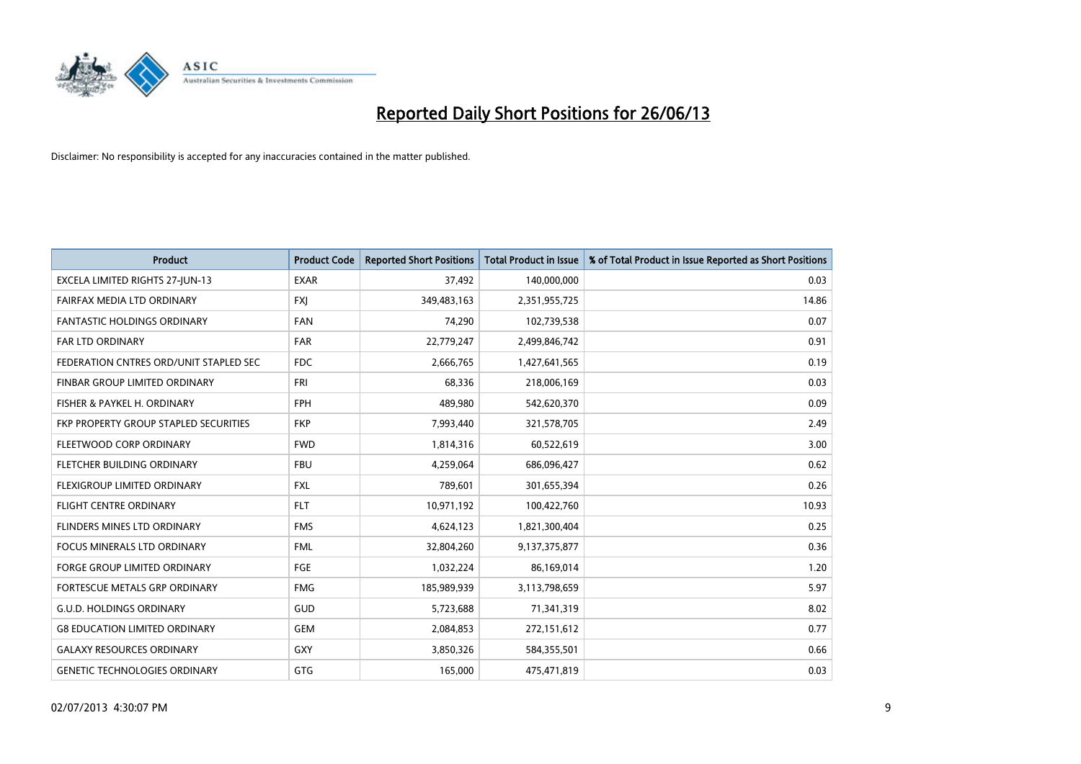

| <b>Product</b>                         | <b>Product Code</b> | <b>Reported Short Positions</b> | <b>Total Product in Issue</b> | % of Total Product in Issue Reported as Short Positions |
|----------------------------------------|---------------------|---------------------------------|-------------------------------|---------------------------------------------------------|
| EXCELA LIMITED RIGHTS 27-JUN-13        | <b>EXAR</b>         | 37,492                          | 140,000,000                   | 0.03                                                    |
| FAIRFAX MEDIA LTD ORDINARY             | <b>FXI</b>          | 349,483,163                     | 2,351,955,725                 | 14.86                                                   |
| <b>FANTASTIC HOLDINGS ORDINARY</b>     | <b>FAN</b>          | 74,290                          | 102,739,538                   | 0.07                                                    |
| FAR LTD ORDINARY                       | <b>FAR</b>          | 22,779,247                      | 2,499,846,742                 | 0.91                                                    |
| FEDERATION CNTRES ORD/UNIT STAPLED SEC | FDC                 | 2,666,765                       | 1,427,641,565                 | 0.19                                                    |
| FINBAR GROUP LIMITED ORDINARY          | <b>FRI</b>          | 68,336                          | 218,006,169                   | 0.03                                                    |
| FISHER & PAYKEL H. ORDINARY            | <b>FPH</b>          | 489,980                         | 542,620,370                   | 0.09                                                    |
| FKP PROPERTY GROUP STAPLED SECURITIES  | <b>FKP</b>          | 7,993,440                       | 321,578,705                   | 2.49                                                    |
| FLEETWOOD CORP ORDINARY                | <b>FWD</b>          | 1,814,316                       | 60,522,619                    | 3.00                                                    |
| FLETCHER BUILDING ORDINARY             | <b>FBU</b>          | 4,259,064                       | 686,096,427                   | 0.62                                                    |
| FLEXIGROUP LIMITED ORDINARY            | <b>FXL</b>          | 789,601                         | 301,655,394                   | 0.26                                                    |
| <b>FLIGHT CENTRE ORDINARY</b>          | <b>FLT</b>          | 10,971,192                      | 100,422,760                   | 10.93                                                   |
| FLINDERS MINES LTD ORDINARY            | <b>FMS</b>          | 4,624,123                       | 1,821,300,404                 | 0.25                                                    |
| <b>FOCUS MINERALS LTD ORDINARY</b>     | <b>FML</b>          | 32,804,260                      | 9,137,375,877                 | 0.36                                                    |
| <b>FORGE GROUP LIMITED ORDINARY</b>    | FGE                 | 1,032,224                       | 86,169,014                    | 1.20                                                    |
| FORTESCUE METALS GRP ORDINARY          | <b>FMG</b>          | 185,989,939                     | 3,113,798,659                 | 5.97                                                    |
| <b>G.U.D. HOLDINGS ORDINARY</b>        | GUD                 | 5,723,688                       | 71,341,319                    | 8.02                                                    |
| <b>G8 EDUCATION LIMITED ORDINARY</b>   | <b>GEM</b>          | 2,084,853                       | 272,151,612                   | 0.77                                                    |
| <b>GALAXY RESOURCES ORDINARY</b>       | <b>GXY</b>          | 3,850,326                       | 584,355,501                   | 0.66                                                    |
| <b>GENETIC TECHNOLOGIES ORDINARY</b>   | <b>GTG</b>          | 165,000                         | 475,471,819                   | 0.03                                                    |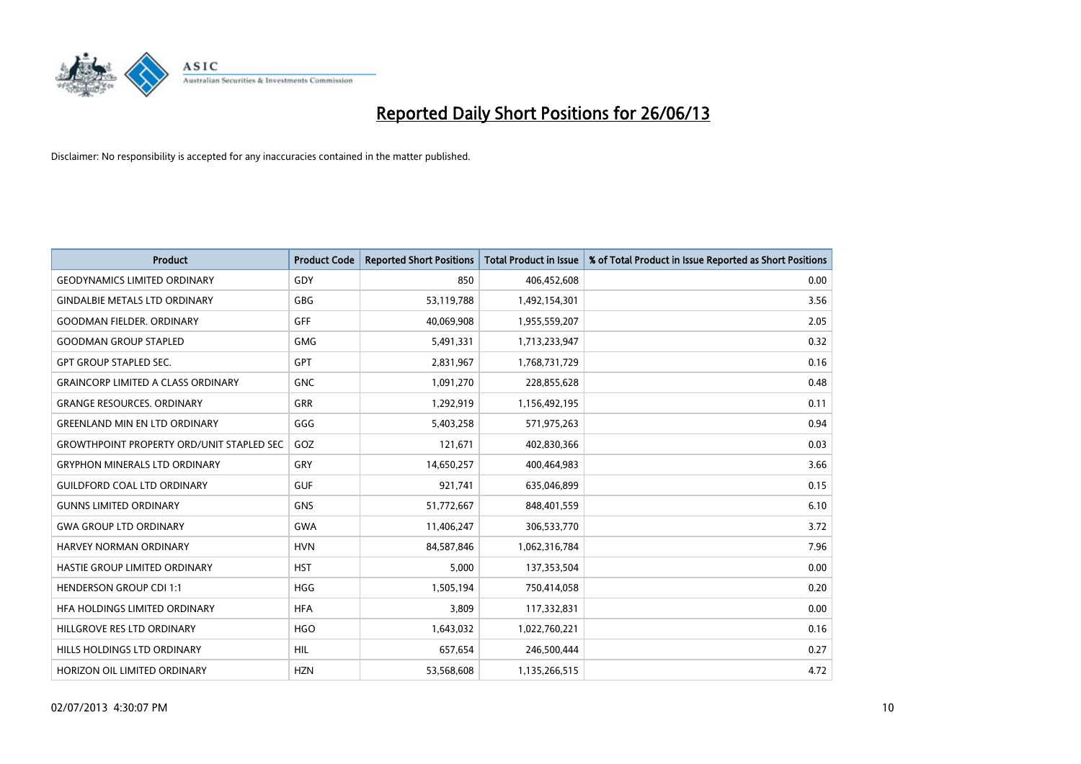

| <b>Product</b>                                   | <b>Product Code</b> | <b>Reported Short Positions</b> | <b>Total Product in Issue</b> | % of Total Product in Issue Reported as Short Positions |
|--------------------------------------------------|---------------------|---------------------------------|-------------------------------|---------------------------------------------------------|
| <b>GEODYNAMICS LIMITED ORDINARY</b>              | GDY                 | 850                             | 406,452,608                   | 0.00                                                    |
| <b>GINDALBIE METALS LTD ORDINARY</b>             | <b>GBG</b>          | 53,119,788                      | 1,492,154,301                 | 3.56                                                    |
| <b>GOODMAN FIELDER, ORDINARY</b>                 | GFF                 | 40,069,908                      | 1,955,559,207                 | 2.05                                                    |
| <b>GOODMAN GROUP STAPLED</b>                     | <b>GMG</b>          | 5,491,331                       | 1,713,233,947                 | 0.32                                                    |
| <b>GPT GROUP STAPLED SEC.</b>                    | GPT                 | 2,831,967                       | 1,768,731,729                 | 0.16                                                    |
| <b>GRAINCORP LIMITED A CLASS ORDINARY</b>        | <b>GNC</b>          | 1,091,270                       | 228,855,628                   | 0.48                                                    |
| <b>GRANGE RESOURCES, ORDINARY</b>                | GRR                 | 1,292,919                       | 1,156,492,195                 | 0.11                                                    |
| <b>GREENLAND MIN EN LTD ORDINARY</b>             | GGG                 | 5,403,258                       | 571,975,263                   | 0.94                                                    |
| <b>GROWTHPOINT PROPERTY ORD/UNIT STAPLED SEC</b> | GOZ                 | 121,671                         | 402,830,366                   | 0.03                                                    |
| <b>GRYPHON MINERALS LTD ORDINARY</b>             | GRY                 | 14,650,257                      | 400,464,983                   | 3.66                                                    |
| <b>GUILDFORD COAL LTD ORDINARY</b>               | <b>GUF</b>          | 921,741                         | 635,046,899                   | 0.15                                                    |
| <b>GUNNS LIMITED ORDINARY</b>                    | <b>GNS</b>          | 51,772,667                      | 848,401,559                   | 6.10                                                    |
| <b>GWA GROUP LTD ORDINARY</b>                    | <b>GWA</b>          | 11,406,247                      | 306,533,770                   | 3.72                                                    |
| HARVEY NORMAN ORDINARY                           | <b>HVN</b>          | 84,587,846                      | 1,062,316,784                 | 7.96                                                    |
| HASTIE GROUP LIMITED ORDINARY                    | <b>HST</b>          | 5,000                           | 137,353,504                   | 0.00                                                    |
| HENDERSON GROUP CDI 1:1                          | <b>HGG</b>          | 1,505,194                       | 750,414,058                   | 0.20                                                    |
| HFA HOLDINGS LIMITED ORDINARY                    | <b>HFA</b>          | 3,809                           | 117,332,831                   | 0.00                                                    |
| HILLGROVE RES LTD ORDINARY                       | <b>HGO</b>          | 1,643,032                       | 1,022,760,221                 | 0.16                                                    |
| HILLS HOLDINGS LTD ORDINARY                      | <b>HIL</b>          | 657,654                         | 246,500,444                   | 0.27                                                    |
| HORIZON OIL LIMITED ORDINARY                     | <b>HZN</b>          | 53,568,608                      | 1,135,266,515                 | 4.72                                                    |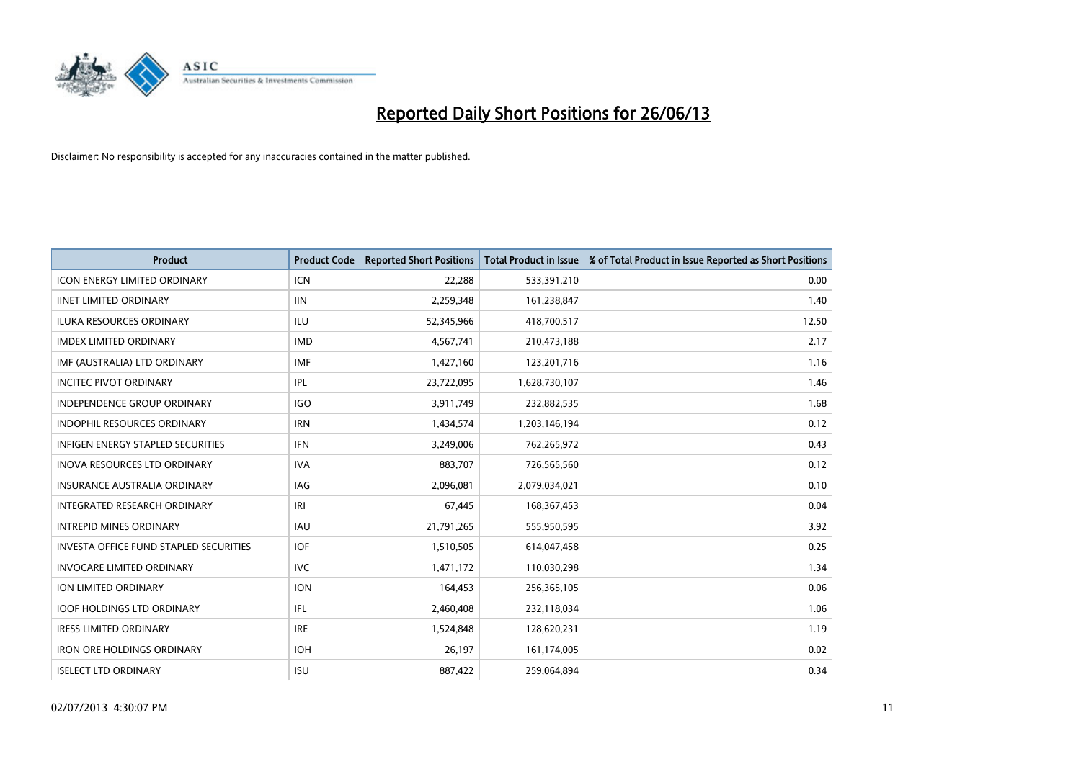

| <b>Product</b>                                | <b>Product Code</b> | <b>Reported Short Positions</b> | <b>Total Product in Issue</b> | % of Total Product in Issue Reported as Short Positions |
|-----------------------------------------------|---------------------|---------------------------------|-------------------------------|---------------------------------------------------------|
| <b>ICON ENERGY LIMITED ORDINARY</b>           | <b>ICN</b>          | 22,288                          | 533,391,210                   | 0.00                                                    |
| <b>IINET LIMITED ORDINARY</b>                 | <b>IIN</b>          | 2,259,348                       | 161,238,847                   | 1.40                                                    |
| <b>ILUKA RESOURCES ORDINARY</b>               | <b>ILU</b>          | 52,345,966                      | 418,700,517                   | 12.50                                                   |
| <b>IMDEX LIMITED ORDINARY</b>                 | <b>IMD</b>          | 4,567,741                       | 210,473,188                   | 2.17                                                    |
| IMF (AUSTRALIA) LTD ORDINARY                  | <b>IMF</b>          | 1,427,160                       | 123,201,716                   | 1.16                                                    |
| <b>INCITEC PIVOT ORDINARY</b>                 | IPL                 | 23,722,095                      | 1,628,730,107                 | 1.46                                                    |
| INDEPENDENCE GROUP ORDINARY                   | <b>IGO</b>          | 3,911,749                       | 232,882,535                   | 1.68                                                    |
| <b>INDOPHIL RESOURCES ORDINARY</b>            | <b>IRN</b>          | 1,434,574                       | 1,203,146,194                 | 0.12                                                    |
| <b>INFIGEN ENERGY STAPLED SECURITIES</b>      | <b>IFN</b>          | 3,249,006                       | 762,265,972                   | 0.43                                                    |
| <b>INOVA RESOURCES LTD ORDINARY</b>           | <b>IVA</b>          | 883,707                         | 726,565,560                   | 0.12                                                    |
| <b>INSURANCE AUSTRALIA ORDINARY</b>           | IAG                 | 2,096,081                       | 2,079,034,021                 | 0.10                                                    |
| <b>INTEGRATED RESEARCH ORDINARY</b>           | IRI                 | 67,445                          | 168,367,453                   | 0.04                                                    |
| <b>INTREPID MINES ORDINARY</b>                | <b>IAU</b>          | 21,791,265                      | 555,950,595                   | 3.92                                                    |
| <b>INVESTA OFFICE FUND STAPLED SECURITIES</b> | <b>IOF</b>          | 1,510,505                       | 614,047,458                   | 0.25                                                    |
| <b>INVOCARE LIMITED ORDINARY</b>              | <b>IVC</b>          | 1,471,172                       | 110,030,298                   | 1.34                                                    |
| ION LIMITED ORDINARY                          | <b>ION</b>          | 164,453                         | 256,365,105                   | 0.06                                                    |
| <b>IOOF HOLDINGS LTD ORDINARY</b>             | IFL                 | 2,460,408                       | 232,118,034                   | 1.06                                                    |
| <b>IRESS LIMITED ORDINARY</b>                 | <b>IRE</b>          | 1,524,848                       | 128,620,231                   | 1.19                                                    |
| <b>IRON ORE HOLDINGS ORDINARY</b>             | <b>IOH</b>          | 26,197                          | 161,174,005                   | 0.02                                                    |
| <b>ISELECT LTD ORDINARY</b>                   | <b>ISU</b>          | 887,422                         | 259,064,894                   | 0.34                                                    |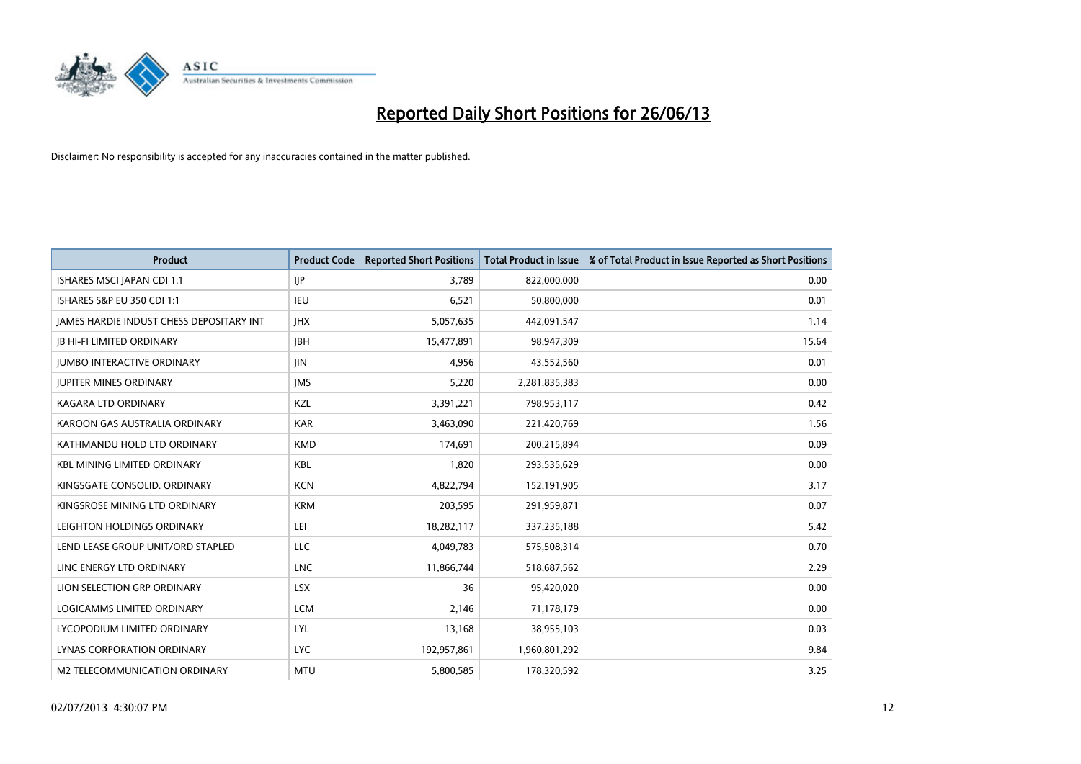

| Product                                         | <b>Product Code</b> | <b>Reported Short Positions</b> | <b>Total Product in Issue</b> | % of Total Product in Issue Reported as Short Positions |
|-------------------------------------------------|---------------------|---------------------------------|-------------------------------|---------------------------------------------------------|
| ISHARES MSCI JAPAN CDI 1:1                      | IJР                 | 3,789                           | 822,000,000                   | 0.00                                                    |
| ISHARES S&P EU 350 CDI 1:1                      | <b>IEU</b>          | 6,521                           | 50,800,000                    | 0.01                                                    |
| <b>JAMES HARDIE INDUST CHESS DEPOSITARY INT</b> | <b>IHX</b>          | 5,057,635                       | 442,091,547                   | 1.14                                                    |
| <b>IB HI-FI LIMITED ORDINARY</b>                | JBH                 | 15,477,891                      | 98,947,309                    | 15.64                                                   |
| <b>JUMBO INTERACTIVE ORDINARY</b>               | <b>JIN</b>          | 4,956                           | 43,552,560                    | 0.01                                                    |
| <b>JUPITER MINES ORDINARY</b>                   | <b>IMS</b>          | 5,220                           | 2,281,835,383                 | 0.00                                                    |
| <b>KAGARA LTD ORDINARY</b>                      | KZL                 | 3,391,221                       | 798,953,117                   | 0.42                                                    |
| KAROON GAS AUSTRALIA ORDINARY                   | <b>KAR</b>          | 3,463,090                       | 221,420,769                   | 1.56                                                    |
| KATHMANDU HOLD LTD ORDINARY                     | <b>KMD</b>          | 174,691                         | 200,215,894                   | 0.09                                                    |
| <b>KBL MINING LIMITED ORDINARY</b>              | <b>KBL</b>          | 1,820                           | 293,535,629                   | 0.00                                                    |
| KINGSGATE CONSOLID. ORDINARY                    | <b>KCN</b>          | 4,822,794                       | 152,191,905                   | 3.17                                                    |
| KINGSROSE MINING LTD ORDINARY                   | <b>KRM</b>          | 203,595                         | 291,959,871                   | 0.07                                                    |
| LEIGHTON HOLDINGS ORDINARY                      | LEI                 | 18,282,117                      | 337,235,188                   | 5.42                                                    |
| LEND LEASE GROUP UNIT/ORD STAPLED               | LLC                 | 4,049,783                       | 575,508,314                   | 0.70                                                    |
| LINC ENERGY LTD ORDINARY                        | <b>LNC</b>          | 11,866,744                      | 518,687,562                   | 2.29                                                    |
| LION SELECTION GRP ORDINARY                     | <b>LSX</b>          | 36                              | 95,420,020                    | 0.00                                                    |
| LOGICAMMS LIMITED ORDINARY                      | <b>LCM</b>          | 2,146                           | 71,178,179                    | 0.00                                                    |
| LYCOPODIUM LIMITED ORDINARY                     | <b>LYL</b>          | 13,168                          | 38,955,103                    | 0.03                                                    |
| LYNAS CORPORATION ORDINARY                      | <b>LYC</b>          | 192,957,861                     | 1,960,801,292                 | 9.84                                                    |
| M2 TELECOMMUNICATION ORDINARY                   | <b>MTU</b>          | 5,800,585                       | 178,320,592                   | 3.25                                                    |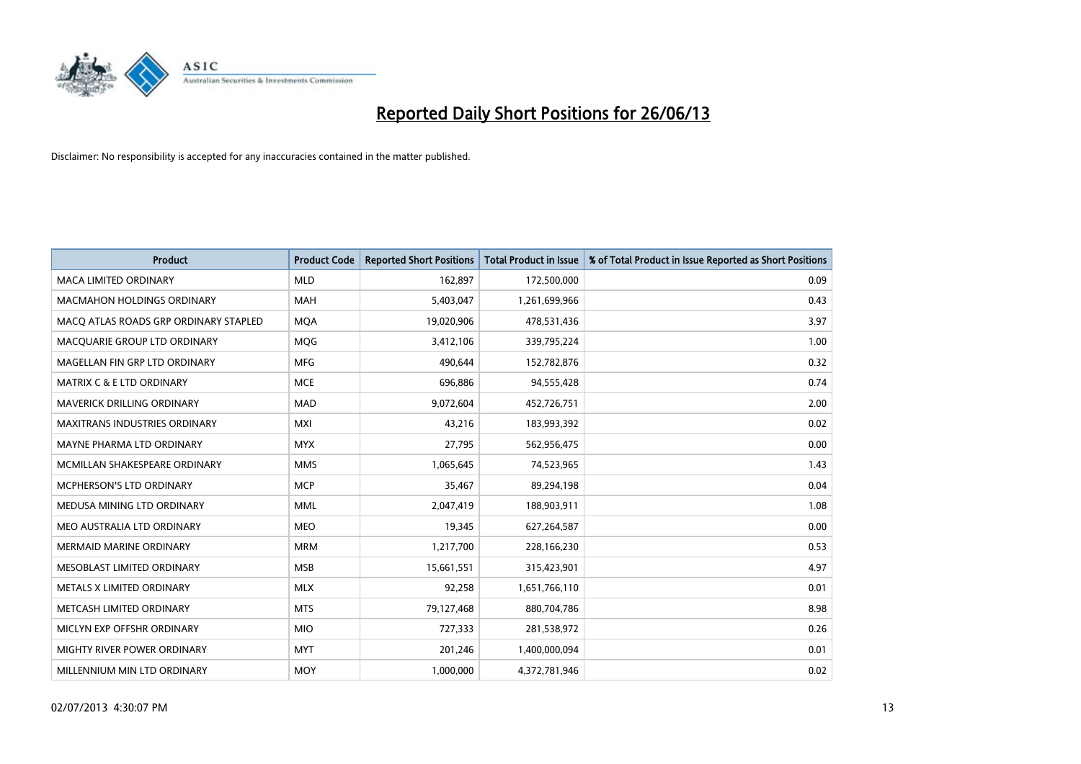

| <b>Product</b>                        | <b>Product Code</b> | <b>Reported Short Positions</b> | <b>Total Product in Issue</b> | % of Total Product in Issue Reported as Short Positions |
|---------------------------------------|---------------------|---------------------------------|-------------------------------|---------------------------------------------------------|
| <b>MACA LIMITED ORDINARY</b>          | <b>MLD</b>          | 162,897                         | 172,500,000                   | 0.09                                                    |
| <b>MACMAHON HOLDINGS ORDINARY</b>     | MAH                 | 5,403,047                       | 1,261,699,966                 | 0.43                                                    |
| MACO ATLAS ROADS GRP ORDINARY STAPLED | <b>MQA</b>          | 19,020,906                      | 478,531,436                   | 3.97                                                    |
| MACQUARIE GROUP LTD ORDINARY          | <b>MOG</b>          | 3,412,106                       | 339,795,224                   | 1.00                                                    |
| MAGELLAN FIN GRP LTD ORDINARY         | <b>MFG</b>          | 490,644                         | 152,782,876                   | 0.32                                                    |
| <b>MATRIX C &amp; E LTD ORDINARY</b>  | <b>MCE</b>          | 696,886                         | 94,555,428                    | 0.74                                                    |
| <b>MAVERICK DRILLING ORDINARY</b>     | <b>MAD</b>          | 9,072,604                       | 452,726,751                   | 2.00                                                    |
| <b>MAXITRANS INDUSTRIES ORDINARY</b>  | <b>MXI</b>          | 43,216                          | 183,993,392                   | 0.02                                                    |
| MAYNE PHARMA LTD ORDINARY             | <b>MYX</b>          | 27,795                          | 562,956,475                   | 0.00                                                    |
| MCMILLAN SHAKESPEARE ORDINARY         | <b>MMS</b>          | 1,065,645                       | 74,523,965                    | 1.43                                                    |
| <b>MCPHERSON'S LTD ORDINARY</b>       | <b>MCP</b>          | 35,467                          | 89,294,198                    | 0.04                                                    |
| MEDUSA MINING LTD ORDINARY            | <b>MML</b>          | 2,047,419                       | 188,903,911                   | 1.08                                                    |
| MEO AUSTRALIA LTD ORDINARY            | <b>MEO</b>          | 19,345                          | 627,264,587                   | 0.00                                                    |
| <b>MERMAID MARINE ORDINARY</b>        | <b>MRM</b>          | 1,217,700                       | 228,166,230                   | 0.53                                                    |
| MESOBLAST LIMITED ORDINARY            | <b>MSB</b>          | 15,661,551                      | 315,423,901                   | 4.97                                                    |
| METALS X LIMITED ORDINARY             | <b>MLX</b>          | 92,258                          | 1,651,766,110                 | 0.01                                                    |
| METCASH LIMITED ORDINARY              | <b>MTS</b>          | 79,127,468                      | 880,704,786                   | 8.98                                                    |
| MICLYN EXP OFFSHR ORDINARY            | <b>MIO</b>          | 727,333                         | 281,538,972                   | 0.26                                                    |
| MIGHTY RIVER POWER ORDINARY           | <b>MYT</b>          | 201,246                         | 1,400,000,094                 | 0.01                                                    |
| MILLENNIUM MIN LTD ORDINARY           | <b>MOY</b>          | 1,000,000                       | 4,372,781,946                 | 0.02                                                    |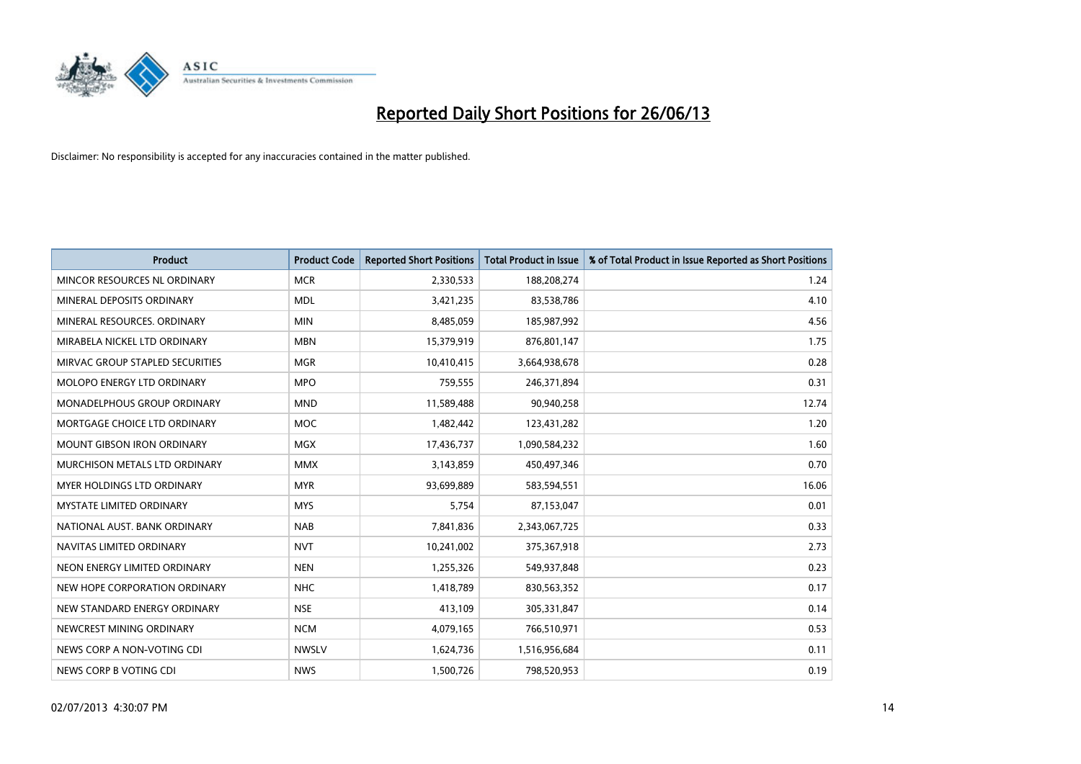

| <b>Product</b>                    | <b>Product Code</b> | <b>Reported Short Positions</b> | <b>Total Product in Issue</b> | % of Total Product in Issue Reported as Short Positions |
|-----------------------------------|---------------------|---------------------------------|-------------------------------|---------------------------------------------------------|
| MINCOR RESOURCES NL ORDINARY      | <b>MCR</b>          | 2,330,533                       | 188,208,274                   | 1.24                                                    |
| MINERAL DEPOSITS ORDINARY         | <b>MDL</b>          | 3,421,235                       | 83,538,786                    | 4.10                                                    |
| MINERAL RESOURCES, ORDINARY       | <b>MIN</b>          | 8,485,059                       | 185,987,992                   | 4.56                                                    |
| MIRABELA NICKEL LTD ORDINARY      | <b>MBN</b>          | 15,379,919                      | 876,801,147                   | 1.75                                                    |
| MIRVAC GROUP STAPLED SECURITIES   | <b>MGR</b>          | 10,410,415                      | 3,664,938,678                 | 0.28                                                    |
| MOLOPO ENERGY LTD ORDINARY        | <b>MPO</b>          | 759,555                         | 246,371,894                   | 0.31                                                    |
| MONADELPHOUS GROUP ORDINARY       | <b>MND</b>          | 11,589,488                      | 90,940,258                    | 12.74                                                   |
| MORTGAGE CHOICE LTD ORDINARY      | <b>MOC</b>          | 1,482,442                       | 123,431,282                   | 1.20                                                    |
| <b>MOUNT GIBSON IRON ORDINARY</b> | <b>MGX</b>          | 17,436,737                      | 1,090,584,232                 | 1.60                                                    |
| MURCHISON METALS LTD ORDINARY     | <b>MMX</b>          | 3,143,859                       | 450,497,346                   | 0.70                                                    |
| MYER HOLDINGS LTD ORDINARY        | <b>MYR</b>          | 93,699,889                      | 583,594,551                   | 16.06                                                   |
| MYSTATE LIMITED ORDINARY          | <b>MYS</b>          | 5,754                           | 87,153,047                    | 0.01                                                    |
| NATIONAL AUST, BANK ORDINARY      | <b>NAB</b>          | 7,841,836                       | 2,343,067,725                 | 0.33                                                    |
| NAVITAS LIMITED ORDINARY          | <b>NVT</b>          | 10,241,002                      | 375,367,918                   | 2.73                                                    |
| NEON ENERGY LIMITED ORDINARY      | <b>NEN</b>          | 1,255,326                       | 549,937,848                   | 0.23                                                    |
| NEW HOPE CORPORATION ORDINARY     | <b>NHC</b>          | 1,418,789                       | 830,563,352                   | 0.17                                                    |
| NEW STANDARD ENERGY ORDINARY      | <b>NSE</b>          | 413,109                         | 305,331,847                   | 0.14                                                    |
| NEWCREST MINING ORDINARY          | <b>NCM</b>          | 4,079,165                       | 766,510,971                   | 0.53                                                    |
| NEWS CORP A NON-VOTING CDI        | <b>NWSLV</b>        | 1,624,736                       | 1,516,956,684                 | 0.11                                                    |
| NEWS CORP B VOTING CDI            | <b>NWS</b>          | 1,500,726                       | 798,520,953                   | 0.19                                                    |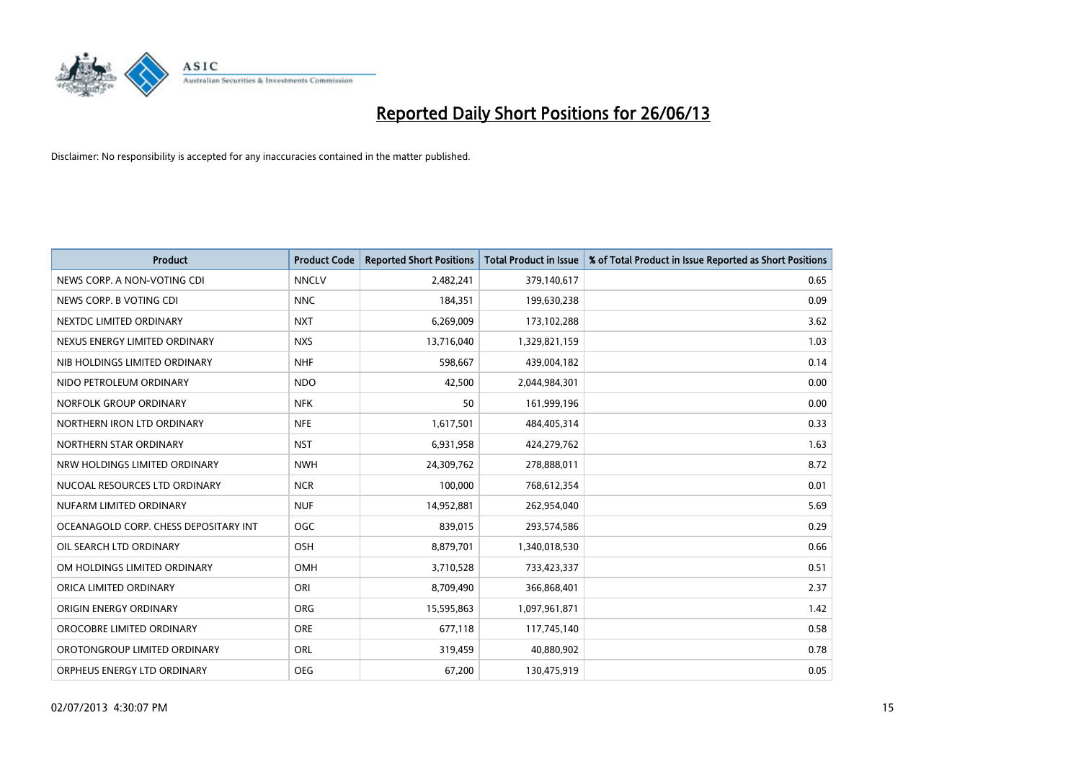

| <b>Product</b>                        | <b>Product Code</b> | <b>Reported Short Positions</b> | <b>Total Product in Issue</b> | % of Total Product in Issue Reported as Short Positions |
|---------------------------------------|---------------------|---------------------------------|-------------------------------|---------------------------------------------------------|
| NEWS CORP. A NON-VOTING CDI           | <b>NNCLV</b>        | 2,482,241                       | 379,140,617                   | 0.65                                                    |
| NEWS CORP. B VOTING CDI               | <b>NNC</b>          | 184,351                         | 199,630,238                   | 0.09                                                    |
| NEXTDC LIMITED ORDINARY               | <b>NXT</b>          | 6,269,009                       | 173,102,288                   | 3.62                                                    |
| NEXUS ENERGY LIMITED ORDINARY         | <b>NXS</b>          | 13,716,040                      | 1,329,821,159                 | 1.03                                                    |
| NIB HOLDINGS LIMITED ORDINARY         | <b>NHF</b>          | 598,667                         | 439,004,182                   | 0.14                                                    |
| NIDO PETROLEUM ORDINARY               | <b>NDO</b>          | 42,500                          | 2,044,984,301                 | 0.00                                                    |
| NORFOLK GROUP ORDINARY                | <b>NFK</b>          | 50                              | 161,999,196                   | 0.00                                                    |
| NORTHERN IRON LTD ORDINARY            | <b>NFE</b>          | 1,617,501                       | 484,405,314                   | 0.33                                                    |
| NORTHERN STAR ORDINARY                | <b>NST</b>          | 6,931,958                       | 424,279,762                   | 1.63                                                    |
| NRW HOLDINGS LIMITED ORDINARY         | <b>NWH</b>          | 24,309,762                      | 278,888,011                   | 8.72                                                    |
| NUCOAL RESOURCES LTD ORDINARY         | <b>NCR</b>          | 100,000                         | 768,612,354                   | 0.01                                                    |
| NUFARM LIMITED ORDINARY               | <b>NUF</b>          | 14,952,881                      | 262,954,040                   | 5.69                                                    |
| OCEANAGOLD CORP. CHESS DEPOSITARY INT | <b>OGC</b>          | 839,015                         | 293,574,586                   | 0.29                                                    |
| OIL SEARCH LTD ORDINARY               | OSH                 | 8,879,701                       | 1,340,018,530                 | 0.66                                                    |
| OM HOLDINGS LIMITED ORDINARY          | OMH                 | 3,710,528                       | 733,423,337                   | 0.51                                                    |
| ORICA LIMITED ORDINARY                | ORI                 | 8,709,490                       | 366,868,401                   | 2.37                                                    |
| ORIGIN ENERGY ORDINARY                | ORG                 | 15,595,863                      | 1,097,961,871                 | 1.42                                                    |
| OROCOBRE LIMITED ORDINARY             | <b>ORE</b>          | 677,118                         | 117,745,140                   | 0.58                                                    |
| OROTONGROUP LIMITED ORDINARY          | <b>ORL</b>          | 319,459                         | 40,880,902                    | 0.78                                                    |
| ORPHEUS ENERGY LTD ORDINARY           | <b>OEG</b>          | 67,200                          | 130,475,919                   | 0.05                                                    |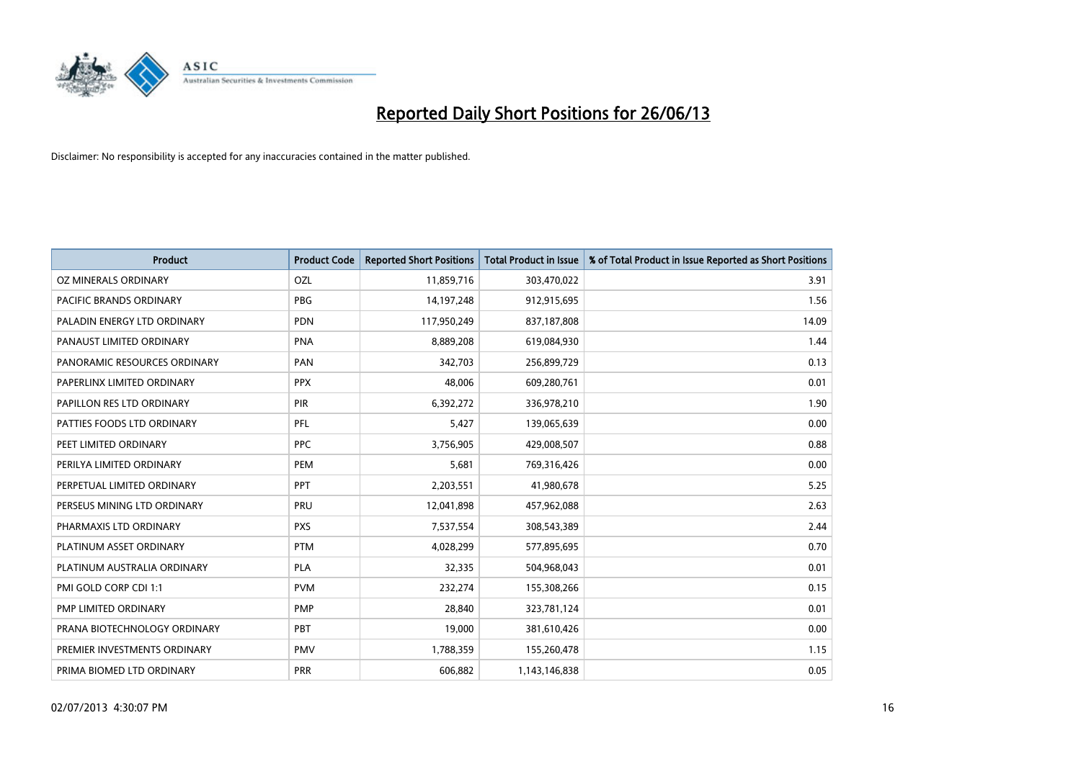

| Product                      | <b>Product Code</b> | <b>Reported Short Positions</b> | <b>Total Product in Issue</b> | % of Total Product in Issue Reported as Short Positions |
|------------------------------|---------------------|---------------------------------|-------------------------------|---------------------------------------------------------|
| OZ MINERALS ORDINARY         | OZL                 | 11,859,716                      | 303,470,022                   | 3.91                                                    |
| PACIFIC BRANDS ORDINARY      | <b>PBG</b>          | 14,197,248                      | 912,915,695                   | 1.56                                                    |
| PALADIN ENERGY LTD ORDINARY  | <b>PDN</b>          | 117,950,249                     | 837,187,808                   | 14.09                                                   |
| PANAUST LIMITED ORDINARY     | <b>PNA</b>          | 8,889,208                       | 619,084,930                   | 1.44                                                    |
| PANORAMIC RESOURCES ORDINARY | PAN                 | 342,703                         | 256,899,729                   | 0.13                                                    |
| PAPERLINX LIMITED ORDINARY   | <b>PPX</b>          | 48,006                          | 609,280,761                   | 0.01                                                    |
| PAPILLON RES LTD ORDINARY    | PIR                 | 6,392,272                       | 336,978,210                   | 1.90                                                    |
| PATTIES FOODS LTD ORDINARY   | PFL                 | 5,427                           | 139,065,639                   | 0.00                                                    |
| PEET LIMITED ORDINARY        | <b>PPC</b>          | 3,756,905                       | 429,008,507                   | 0.88                                                    |
| PERILYA LIMITED ORDINARY     | PEM                 | 5,681                           | 769,316,426                   | 0.00                                                    |
| PERPETUAL LIMITED ORDINARY   | <b>PPT</b>          | 2,203,551                       | 41,980,678                    | 5.25                                                    |
| PERSEUS MINING LTD ORDINARY  | PRU                 | 12,041,898                      | 457,962,088                   | 2.63                                                    |
| PHARMAXIS LTD ORDINARY       | <b>PXS</b>          | 7,537,554                       | 308,543,389                   | 2.44                                                    |
| PLATINUM ASSET ORDINARY      | <b>PTM</b>          | 4,028,299                       | 577,895,695                   | 0.70                                                    |
| PLATINUM AUSTRALIA ORDINARY  | <b>PLA</b>          | 32,335                          | 504,968,043                   | 0.01                                                    |
| PMI GOLD CORP CDI 1:1        | <b>PVM</b>          | 232,274                         | 155,308,266                   | 0.15                                                    |
| PMP LIMITED ORDINARY         | <b>PMP</b>          | 28,840                          | 323,781,124                   | 0.01                                                    |
| PRANA BIOTECHNOLOGY ORDINARY | PBT                 | 19,000                          | 381,610,426                   | 0.00                                                    |
| PREMIER INVESTMENTS ORDINARY | <b>PMV</b>          | 1,788,359                       | 155,260,478                   | 1.15                                                    |
| PRIMA BIOMED LTD ORDINARY    | <b>PRR</b>          | 606,882                         | 1,143,146,838                 | 0.05                                                    |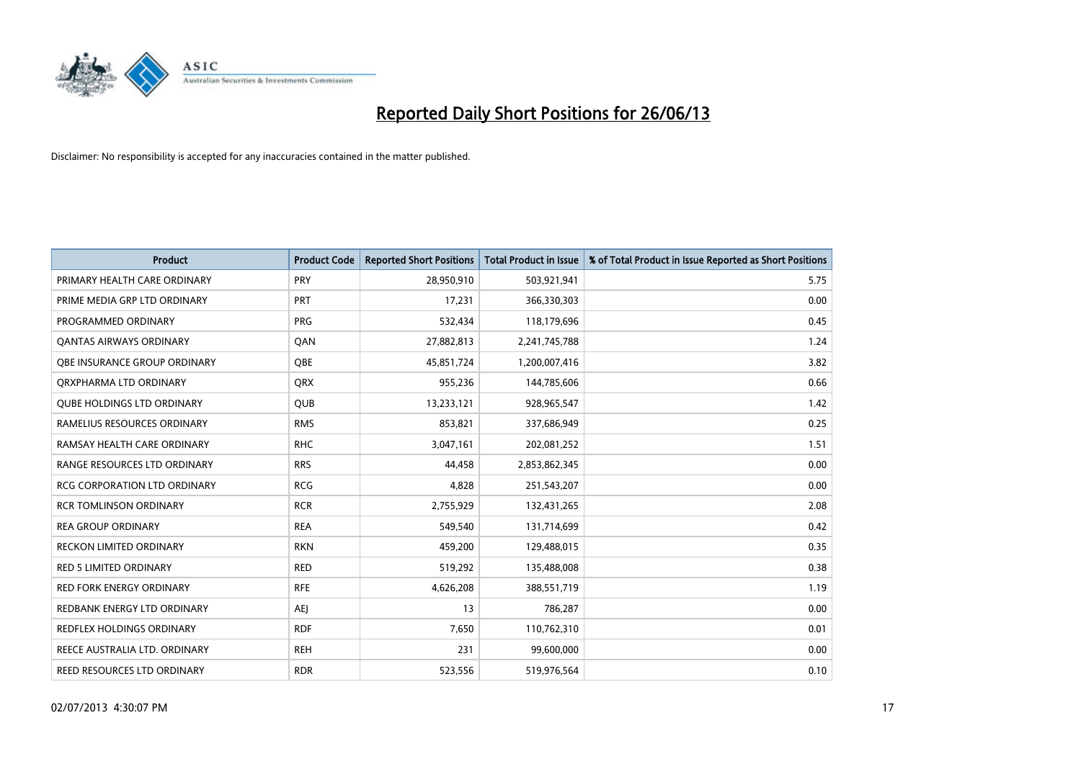

| <b>Product</b>                    | <b>Product Code</b> | <b>Reported Short Positions</b> | <b>Total Product in Issue</b> | % of Total Product in Issue Reported as Short Positions |
|-----------------------------------|---------------------|---------------------------------|-------------------------------|---------------------------------------------------------|
| PRIMARY HEALTH CARE ORDINARY      | <b>PRY</b>          | 28,950,910                      | 503,921,941                   | 5.75                                                    |
| PRIME MEDIA GRP LTD ORDINARY      | PRT                 | 17,231                          | 366,330,303                   | 0.00                                                    |
| PROGRAMMED ORDINARY               | <b>PRG</b>          | 532,434                         | 118,179,696                   | 0.45                                                    |
| <b>QANTAS AIRWAYS ORDINARY</b>    | QAN                 | 27,882,813                      | 2,241,745,788                 | 1.24                                                    |
| OBE INSURANCE GROUP ORDINARY      | <b>OBE</b>          | 45,851,724                      | 1,200,007,416                 | 3.82                                                    |
| ORXPHARMA LTD ORDINARY            | <b>QRX</b>          | 955,236                         | 144,785,606                   | 0.66                                                    |
| <b>QUBE HOLDINGS LTD ORDINARY</b> | <b>QUB</b>          | 13,233,121                      | 928,965,547                   | 1.42                                                    |
| RAMELIUS RESOURCES ORDINARY       | <b>RMS</b>          | 853,821                         | 337,686,949                   | 0.25                                                    |
| RAMSAY HEALTH CARE ORDINARY       | <b>RHC</b>          | 3,047,161                       | 202,081,252                   | 1.51                                                    |
| RANGE RESOURCES LTD ORDINARY      | <b>RRS</b>          | 44,458                          | 2,853,862,345                 | 0.00                                                    |
| RCG CORPORATION LTD ORDINARY      | <b>RCG</b>          | 4,828                           | 251,543,207                   | 0.00                                                    |
| <b>RCR TOMLINSON ORDINARY</b>     | <b>RCR</b>          | 2,755,929                       | 132,431,265                   | 2.08                                                    |
| <b>REA GROUP ORDINARY</b>         | <b>REA</b>          | 549,540                         | 131,714,699                   | 0.42                                                    |
| <b>RECKON LIMITED ORDINARY</b>    | <b>RKN</b>          | 459,200                         | 129,488,015                   | 0.35                                                    |
| <b>RED 5 LIMITED ORDINARY</b>     | <b>RED</b>          | 519,292                         | 135,488,008                   | 0.38                                                    |
| RED FORK ENERGY ORDINARY          | <b>RFE</b>          | 4,626,208                       | 388,551,719                   | 1.19                                                    |
| REDBANK ENERGY LTD ORDINARY       | <b>AEJ</b>          | 13                              | 786,287                       | 0.00                                                    |
| REDFLEX HOLDINGS ORDINARY         | <b>RDF</b>          | 7,650                           | 110,762,310                   | 0.01                                                    |
| REECE AUSTRALIA LTD. ORDINARY     | <b>REH</b>          | 231                             | 99,600,000                    | 0.00                                                    |
| REED RESOURCES LTD ORDINARY       | <b>RDR</b>          | 523,556                         | 519,976,564                   | 0.10                                                    |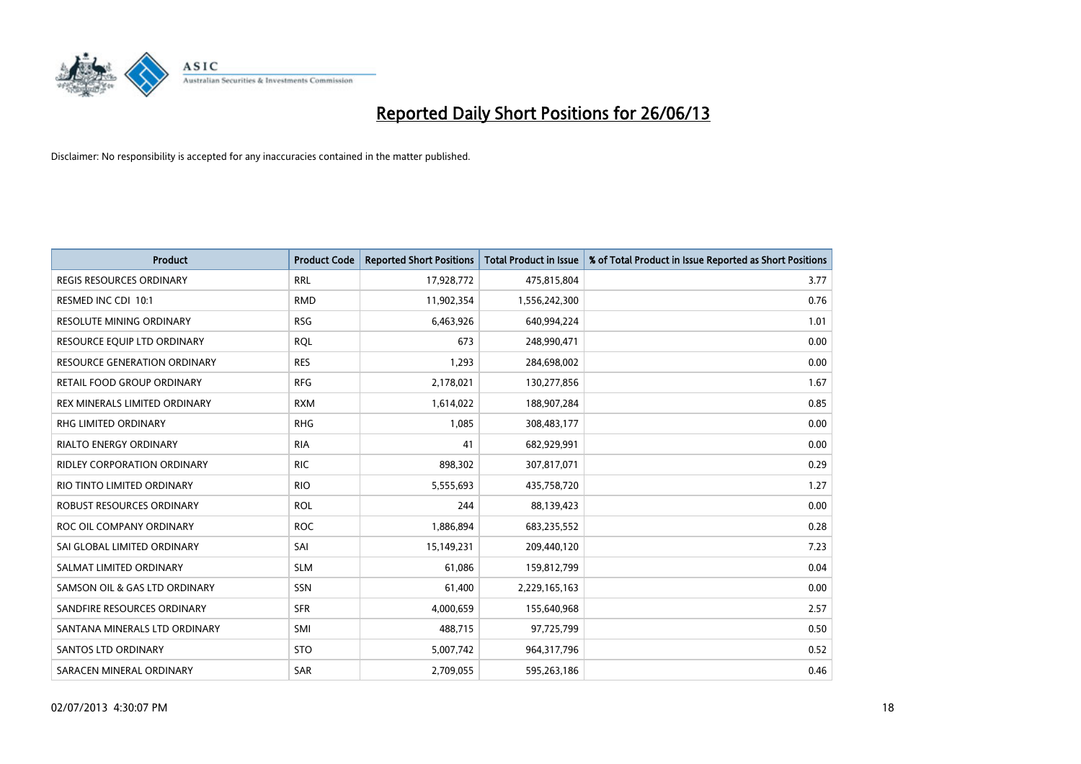

| <b>Product</b>                      | <b>Product Code</b> | <b>Reported Short Positions</b> | <b>Total Product in Issue</b> | % of Total Product in Issue Reported as Short Positions |
|-------------------------------------|---------------------|---------------------------------|-------------------------------|---------------------------------------------------------|
| <b>REGIS RESOURCES ORDINARY</b>     | <b>RRL</b>          | 17,928,772                      | 475,815,804                   | 3.77                                                    |
| RESMED INC CDI 10:1                 | <b>RMD</b>          | 11,902,354                      | 1,556,242,300                 | 0.76                                                    |
| <b>RESOLUTE MINING ORDINARY</b>     | <b>RSG</b>          | 6,463,926                       | 640,994,224                   | 1.01                                                    |
| RESOURCE EQUIP LTD ORDINARY         | <b>RQL</b>          | 673                             | 248,990,471                   | 0.00                                                    |
| <b>RESOURCE GENERATION ORDINARY</b> | <b>RES</b>          | 1,293                           | 284,698,002                   | 0.00                                                    |
| <b>RETAIL FOOD GROUP ORDINARY</b>   | <b>RFG</b>          | 2,178,021                       | 130,277,856                   | 1.67                                                    |
| REX MINERALS LIMITED ORDINARY       | <b>RXM</b>          | 1,614,022                       | 188,907,284                   | 0.85                                                    |
| RHG LIMITED ORDINARY                | <b>RHG</b>          | 1,085                           | 308,483,177                   | 0.00                                                    |
| <b>RIALTO ENERGY ORDINARY</b>       | <b>RIA</b>          | 41                              | 682,929,991                   | 0.00                                                    |
| <b>RIDLEY CORPORATION ORDINARY</b>  | <b>RIC</b>          | 898,302                         | 307,817,071                   | 0.29                                                    |
| RIO TINTO LIMITED ORDINARY          | <b>RIO</b>          | 5,555,693                       | 435,758,720                   | 1.27                                                    |
| <b>ROBUST RESOURCES ORDINARY</b>    | <b>ROL</b>          | 244                             | 88,139,423                    | 0.00                                                    |
| ROC OIL COMPANY ORDINARY            | <b>ROC</b>          | 1,886,894                       | 683,235,552                   | 0.28                                                    |
| SAI GLOBAL LIMITED ORDINARY         | SAI                 | 15,149,231                      | 209,440,120                   | 7.23                                                    |
| SALMAT LIMITED ORDINARY             | <b>SLM</b>          | 61,086                          | 159,812,799                   | 0.04                                                    |
| SAMSON OIL & GAS LTD ORDINARY       | SSN                 | 61,400                          | 2,229,165,163                 | 0.00                                                    |
| SANDFIRE RESOURCES ORDINARY         | <b>SFR</b>          | 4,000,659                       | 155,640,968                   | 2.57                                                    |
| SANTANA MINERALS LTD ORDINARY       | SMI                 | 488,715                         | 97,725,799                    | 0.50                                                    |
| SANTOS LTD ORDINARY                 | <b>STO</b>          | 5,007,742                       | 964,317,796                   | 0.52                                                    |
| SARACEN MINERAL ORDINARY            | SAR                 | 2,709,055                       | 595,263,186                   | 0.46                                                    |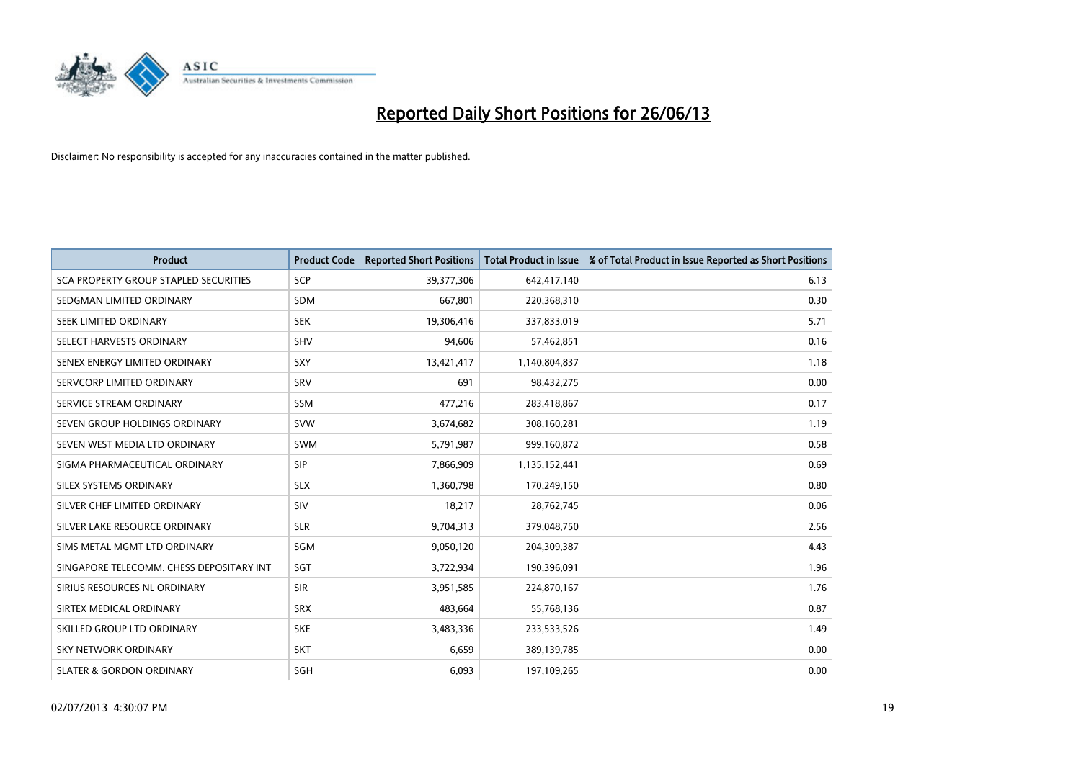

| <b>Product</b>                           | <b>Product Code</b> | <b>Reported Short Positions</b> | <b>Total Product in Issue</b> | % of Total Product in Issue Reported as Short Positions |
|------------------------------------------|---------------------|---------------------------------|-------------------------------|---------------------------------------------------------|
| SCA PROPERTY GROUP STAPLED SECURITIES    | <b>SCP</b>          | 39,377,306                      | 642,417,140                   | 6.13                                                    |
| SEDGMAN LIMITED ORDINARY                 | <b>SDM</b>          | 667,801                         | 220,368,310                   | 0.30                                                    |
| SEEK LIMITED ORDINARY                    | <b>SEK</b>          | 19,306,416                      | 337,833,019                   | 5.71                                                    |
| SELECT HARVESTS ORDINARY                 | <b>SHV</b>          | 94,606                          | 57,462,851                    | 0.16                                                    |
| SENEX ENERGY LIMITED ORDINARY            | SXY                 | 13,421,417                      | 1,140,804,837                 | 1.18                                                    |
| SERVCORP LIMITED ORDINARY                | SRV                 | 691                             | 98,432,275                    | 0.00                                                    |
| SERVICE STREAM ORDINARY                  | <b>SSM</b>          | 477,216                         | 283,418,867                   | 0.17                                                    |
| SEVEN GROUP HOLDINGS ORDINARY            | <b>SVW</b>          | 3,674,682                       | 308,160,281                   | 1.19                                                    |
| SEVEN WEST MEDIA LTD ORDINARY            | <b>SWM</b>          | 5,791,987                       | 999,160,872                   | 0.58                                                    |
| SIGMA PHARMACEUTICAL ORDINARY            | <b>SIP</b>          | 7,866,909                       | 1,135,152,441                 | 0.69                                                    |
| SILEX SYSTEMS ORDINARY                   | <b>SLX</b>          | 1,360,798                       | 170,249,150                   | 0.80                                                    |
| SILVER CHEF LIMITED ORDINARY             | SIV                 | 18,217                          | 28,762,745                    | 0.06                                                    |
| SILVER LAKE RESOURCE ORDINARY            | <b>SLR</b>          | 9,704,313                       | 379,048,750                   | 2.56                                                    |
| SIMS METAL MGMT LTD ORDINARY             | SGM                 | 9,050,120                       | 204,309,387                   | 4.43                                                    |
| SINGAPORE TELECOMM. CHESS DEPOSITARY INT | SGT                 | 3,722,934                       | 190,396,091                   | 1.96                                                    |
| SIRIUS RESOURCES NL ORDINARY             | <b>SIR</b>          | 3,951,585                       | 224,870,167                   | 1.76                                                    |
| SIRTEX MEDICAL ORDINARY                  | <b>SRX</b>          | 483,664                         | 55,768,136                    | 0.87                                                    |
| SKILLED GROUP LTD ORDINARY               | <b>SKE</b>          | 3,483,336                       | 233,533,526                   | 1.49                                                    |
| <b>SKY NETWORK ORDINARY</b>              | <b>SKT</b>          | 6,659                           | 389,139,785                   | 0.00                                                    |
| <b>SLATER &amp; GORDON ORDINARY</b>      | SGH                 | 6,093                           | 197,109,265                   | 0.00                                                    |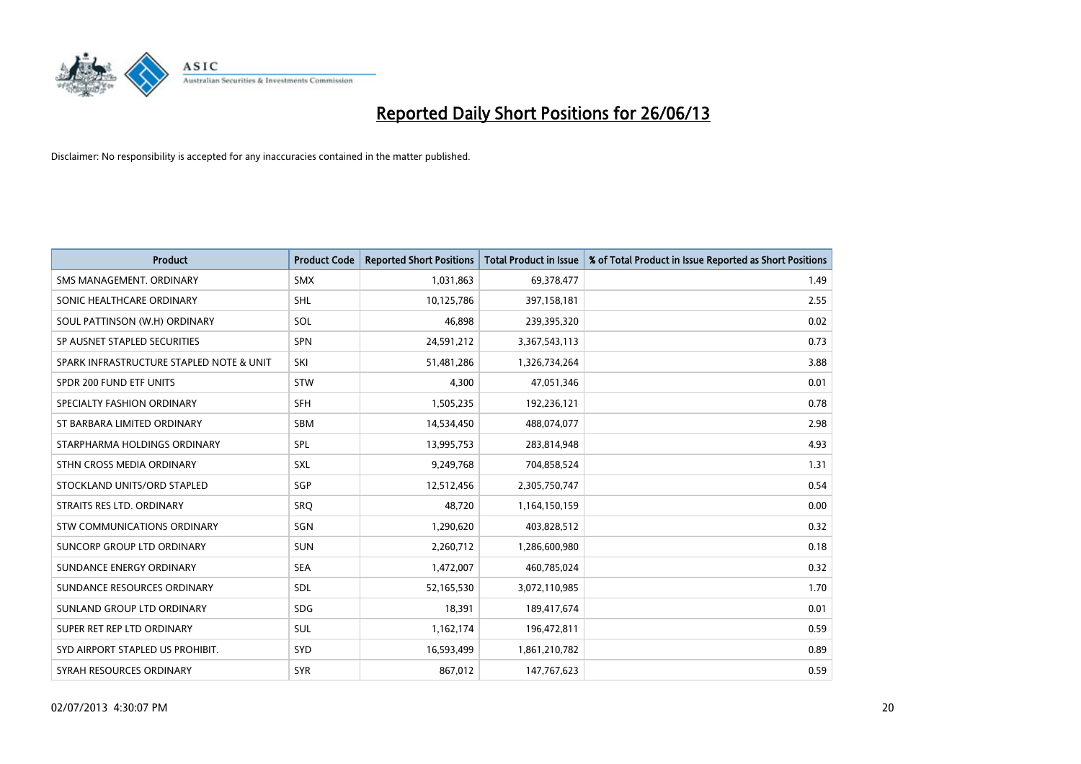

| <b>Product</b>                           | <b>Product Code</b> | <b>Reported Short Positions</b> | <b>Total Product in Issue</b> | % of Total Product in Issue Reported as Short Positions |
|------------------------------------------|---------------------|---------------------------------|-------------------------------|---------------------------------------------------------|
| SMS MANAGEMENT, ORDINARY                 | <b>SMX</b>          | 1,031,863                       | 69,378,477                    | 1.49                                                    |
| SONIC HEALTHCARE ORDINARY                | <b>SHL</b>          | 10,125,786                      | 397,158,181                   | 2.55                                                    |
| SOUL PATTINSON (W.H) ORDINARY            | <b>SOL</b>          | 46,898                          | 239,395,320                   | 0.02                                                    |
| SP AUSNET STAPLED SECURITIES             | <b>SPN</b>          | 24,591,212                      | 3,367,543,113                 | 0.73                                                    |
| SPARK INFRASTRUCTURE STAPLED NOTE & UNIT | SKI                 | 51,481,286                      | 1,326,734,264                 | 3.88                                                    |
| SPDR 200 FUND ETF UNITS                  | <b>STW</b>          | 4,300                           | 47,051,346                    | 0.01                                                    |
| SPECIALTY FASHION ORDINARY               | <b>SFH</b>          | 1,505,235                       | 192,236,121                   | 0.78                                                    |
| ST BARBARA LIMITED ORDINARY              | SBM                 | 14,534,450                      | 488,074,077                   | 2.98                                                    |
| STARPHARMA HOLDINGS ORDINARY             | SPL                 | 13,995,753                      | 283,814,948                   | 4.93                                                    |
| STHN CROSS MEDIA ORDINARY                | <b>SXL</b>          | 9,249,768                       | 704,858,524                   | 1.31                                                    |
| STOCKLAND UNITS/ORD STAPLED              | SGP                 | 12,512,456                      | 2,305,750,747                 | 0.54                                                    |
| STRAITS RES LTD. ORDINARY                | SRQ                 | 48,720                          | 1,164,150,159                 | 0.00                                                    |
| STW COMMUNICATIONS ORDINARY              | SGN                 | 1,290,620                       | 403,828,512                   | 0.32                                                    |
| <b>SUNCORP GROUP LTD ORDINARY</b>        | <b>SUN</b>          | 2,260,712                       | 1,286,600,980                 | 0.18                                                    |
| SUNDANCE ENERGY ORDINARY                 | <b>SEA</b>          | 1,472,007                       | 460,785,024                   | 0.32                                                    |
| SUNDANCE RESOURCES ORDINARY              | SDL                 | 52,165,530                      | 3,072,110,985                 | 1.70                                                    |
| SUNLAND GROUP LTD ORDINARY               | <b>SDG</b>          | 18,391                          | 189,417,674                   | 0.01                                                    |
| SUPER RET REP LTD ORDINARY               | <b>SUL</b>          | 1,162,174                       | 196,472,811                   | 0.59                                                    |
| SYD AIRPORT STAPLED US PROHIBIT.         | SYD                 | 16,593,499                      | 1,861,210,782                 | 0.89                                                    |
| SYRAH RESOURCES ORDINARY                 | <b>SYR</b>          | 867,012                         | 147,767,623                   | 0.59                                                    |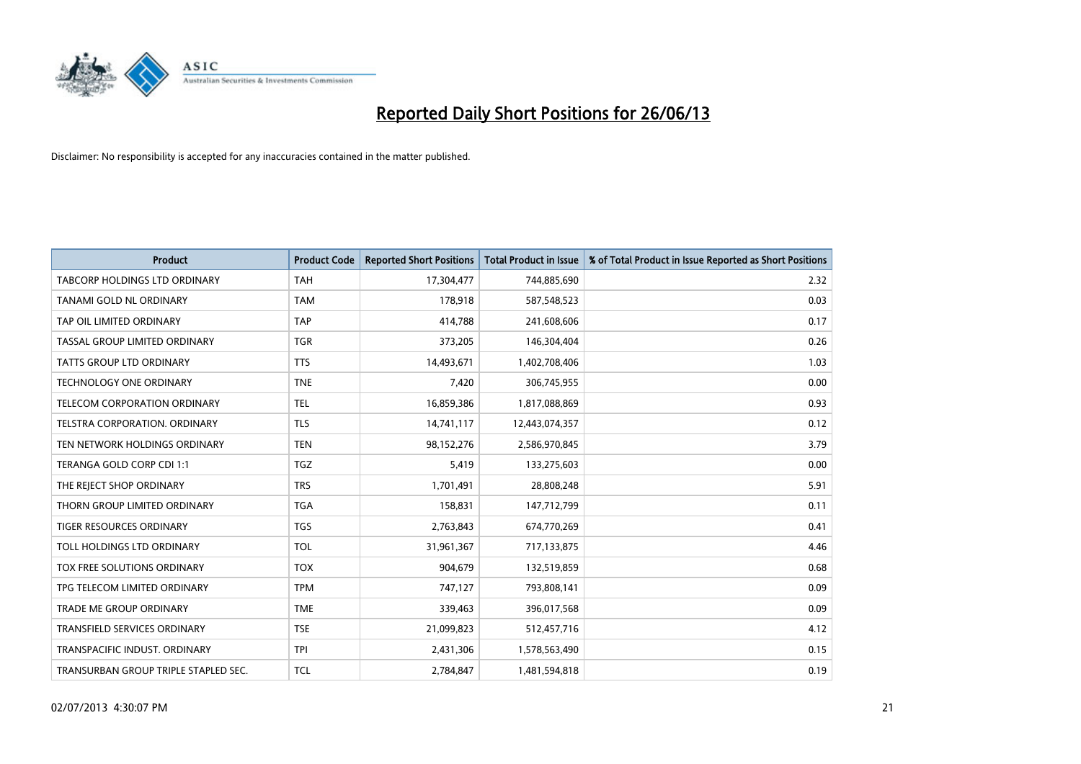

| <b>Product</b>                       | <b>Product Code</b> | <b>Reported Short Positions</b> | <b>Total Product in Issue</b> | % of Total Product in Issue Reported as Short Positions |
|--------------------------------------|---------------------|---------------------------------|-------------------------------|---------------------------------------------------------|
| <b>TABCORP HOLDINGS LTD ORDINARY</b> | <b>TAH</b>          | 17,304,477                      | 744,885,690                   | 2.32                                                    |
| TANAMI GOLD NL ORDINARY              | <b>TAM</b>          | 178,918                         | 587,548,523                   | 0.03                                                    |
| TAP OIL LIMITED ORDINARY             | <b>TAP</b>          | 414,788                         | 241,608,606                   | 0.17                                                    |
| TASSAL GROUP LIMITED ORDINARY        | <b>TGR</b>          | 373,205                         | 146,304,404                   | 0.26                                                    |
| <b>TATTS GROUP LTD ORDINARY</b>      | <b>TTS</b>          | 14,493,671                      | 1,402,708,406                 | 1.03                                                    |
| TECHNOLOGY ONE ORDINARY              | <b>TNE</b>          | 7,420                           | 306,745,955                   | 0.00                                                    |
| TELECOM CORPORATION ORDINARY         | <b>TEL</b>          | 16,859,386                      | 1,817,088,869                 | 0.93                                                    |
| TELSTRA CORPORATION. ORDINARY        | <b>TLS</b>          | 14,741,117                      | 12,443,074,357                | 0.12                                                    |
| TEN NETWORK HOLDINGS ORDINARY        | <b>TEN</b>          | 98,152,276                      | 2,586,970,845                 | 3.79                                                    |
| TERANGA GOLD CORP CDI 1:1            | <b>TGZ</b>          | 5,419                           | 133,275,603                   | 0.00                                                    |
| THE REJECT SHOP ORDINARY             | <b>TRS</b>          | 1,701,491                       | 28,808,248                    | 5.91                                                    |
| THORN GROUP LIMITED ORDINARY         | <b>TGA</b>          | 158,831                         | 147,712,799                   | 0.11                                                    |
| TIGER RESOURCES ORDINARY             | <b>TGS</b>          | 2,763,843                       | 674,770,269                   | 0.41                                                    |
| TOLL HOLDINGS LTD ORDINARY           | <b>TOL</b>          | 31,961,367                      | 717,133,875                   | 4.46                                                    |
| TOX FREE SOLUTIONS ORDINARY          | <b>TOX</b>          | 904,679                         | 132,519,859                   | 0.68                                                    |
| TPG TELECOM LIMITED ORDINARY         | <b>TPM</b>          | 747,127                         | 793,808,141                   | 0.09                                                    |
| <b>TRADE ME GROUP ORDINARY</b>       | <b>TME</b>          | 339,463                         | 396,017,568                   | 0.09                                                    |
| TRANSFIELD SERVICES ORDINARY         | <b>TSE</b>          | 21,099,823                      | 512,457,716                   | 4.12                                                    |
| TRANSPACIFIC INDUST, ORDINARY        | <b>TPI</b>          | 2,431,306                       | 1,578,563,490                 | 0.15                                                    |
| TRANSURBAN GROUP TRIPLE STAPLED SEC. | <b>TCL</b>          | 2,784,847                       | 1,481,594,818                 | 0.19                                                    |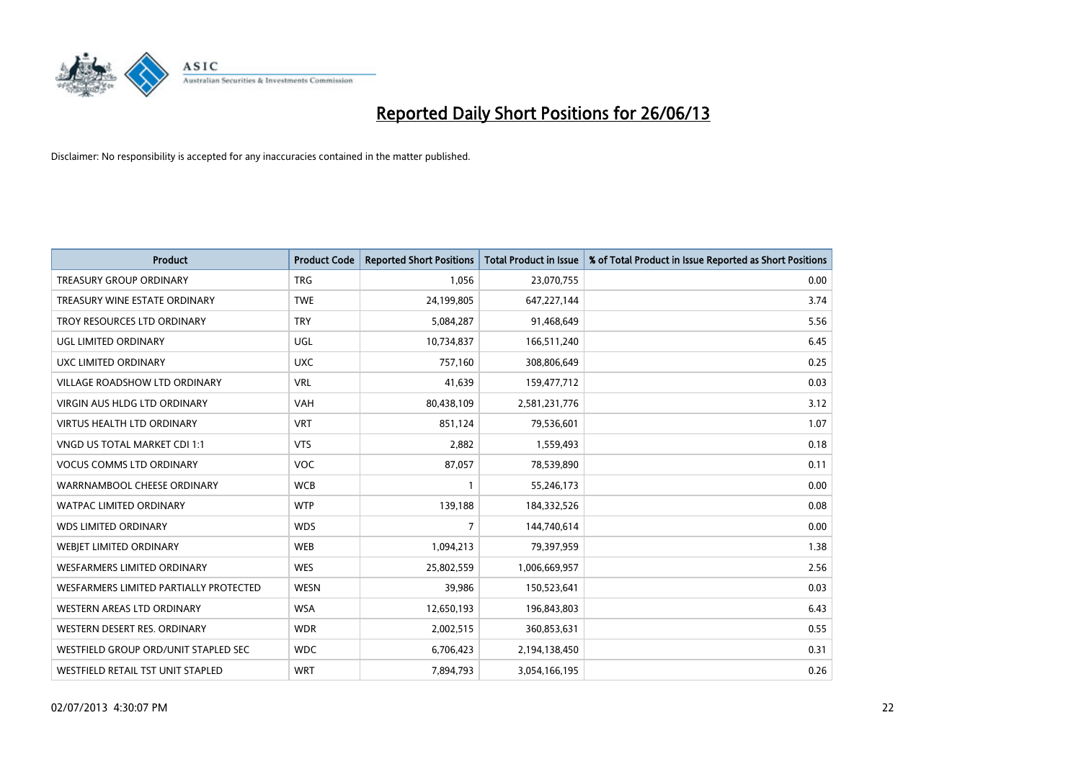

| <b>Product</b>                         | <b>Product Code</b> | <b>Reported Short Positions</b> | <b>Total Product in Issue</b> | % of Total Product in Issue Reported as Short Positions |
|----------------------------------------|---------------------|---------------------------------|-------------------------------|---------------------------------------------------------|
| <b>TREASURY GROUP ORDINARY</b>         | <b>TRG</b>          | 1,056                           | 23,070,755                    | 0.00                                                    |
| TREASURY WINE ESTATE ORDINARY          | <b>TWE</b>          | 24,199,805                      | 647,227,144                   | 3.74                                                    |
| TROY RESOURCES LTD ORDINARY            | <b>TRY</b>          | 5,084,287                       | 91,468,649                    | 5.56                                                    |
| UGL LIMITED ORDINARY                   | UGL                 | 10,734,837                      | 166,511,240                   | 6.45                                                    |
| UXC LIMITED ORDINARY                   | <b>UXC</b>          | 757,160                         | 308,806,649                   | 0.25                                                    |
| <b>VILLAGE ROADSHOW LTD ORDINARY</b>   | <b>VRL</b>          | 41,639                          | 159,477,712                   | 0.03                                                    |
| <b>VIRGIN AUS HLDG LTD ORDINARY</b>    | <b>VAH</b>          | 80,438,109                      | 2,581,231,776                 | 3.12                                                    |
| <b>VIRTUS HEALTH LTD ORDINARY</b>      | <b>VRT</b>          | 851,124                         | 79,536,601                    | 1.07                                                    |
| VNGD US TOTAL MARKET CDI 1:1           | <b>VTS</b>          | 2,882                           | 1,559,493                     | 0.18                                                    |
| <b>VOCUS COMMS LTD ORDINARY</b>        | <b>VOC</b>          | 87,057                          | 78,539,890                    | 0.11                                                    |
| WARRNAMBOOL CHEESE ORDINARY            | <b>WCB</b>          |                                 | 55,246,173                    | 0.00                                                    |
| <b>WATPAC LIMITED ORDINARY</b>         | <b>WTP</b>          | 139,188                         | 184,332,526                   | 0.08                                                    |
| <b>WDS LIMITED ORDINARY</b>            | <b>WDS</b>          | $\overline{7}$                  | 144,740,614                   | 0.00                                                    |
| WEBIET LIMITED ORDINARY                | <b>WEB</b>          | 1,094,213                       | 79,397,959                    | 1.38                                                    |
| WESFARMERS LIMITED ORDINARY            | <b>WES</b>          | 25,802,559                      | 1,006,669,957                 | 2.56                                                    |
| WESFARMERS LIMITED PARTIALLY PROTECTED | <b>WESN</b>         | 39,986                          | 150,523,641                   | 0.03                                                    |
| WESTERN AREAS LTD ORDINARY             | <b>WSA</b>          | 12,650,193                      | 196,843,803                   | 6.43                                                    |
| WESTERN DESERT RES. ORDINARY           | <b>WDR</b>          | 2,002,515                       | 360,853,631                   | 0.55                                                    |
| WESTFIELD GROUP ORD/UNIT STAPLED SEC   | <b>WDC</b>          | 6,706,423                       | 2,194,138,450                 | 0.31                                                    |
| WESTFIELD RETAIL TST UNIT STAPLED      | <b>WRT</b>          | 7,894,793                       | 3,054,166,195                 | 0.26                                                    |